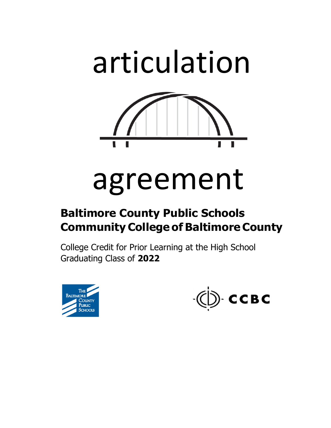

# agreement

# **Baltimore County Public Schools Community College of Baltimore County**

College Credit for Prior Learning at the High School Graduating Class of **2022** 



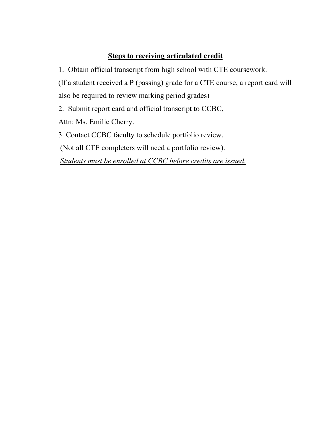# **Steps to receiving articulated credit**

1. Obtain official transcript from high school with CTE coursework. (If a student received a P (passing) grade for a CTE course, a report card will also be required to review marking period grades)

2. Submit report card and official transcript to CCBC,

Attn: Ms. Emilie Cherry.

3. Contact CCBC faculty to schedule portfolio review.

(Not all CTE completers will need a portfolio review).

 *Students must be enrolled at CCBC before credits are issued.*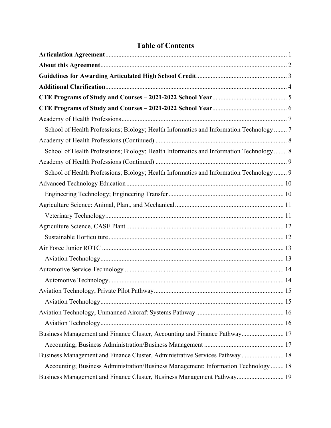# **Table of Contents**

| School of Health Professions; Biology; Health Informatics and Information Technology  7 |
|-----------------------------------------------------------------------------------------|
|                                                                                         |
| School of Health Professions; Biology; Health Informatics and Information Technology  8 |
|                                                                                         |
| School of Health Professions; Biology; Health Informatics and Information Technology  9 |
|                                                                                         |
|                                                                                         |
|                                                                                         |
|                                                                                         |
|                                                                                         |
|                                                                                         |
|                                                                                         |
|                                                                                         |
|                                                                                         |
|                                                                                         |
|                                                                                         |
|                                                                                         |
|                                                                                         |
|                                                                                         |
| Business Management and Finance Cluster, Accounting and Finance Pathway 17              |
|                                                                                         |
| Business Management and Finance Cluster, Administrative Services Pathway  18            |
| Accounting; Business Administration/Business Management; Information Technology  18     |
| Business Management and Finance Cluster, Business Management Pathway 19                 |
|                                                                                         |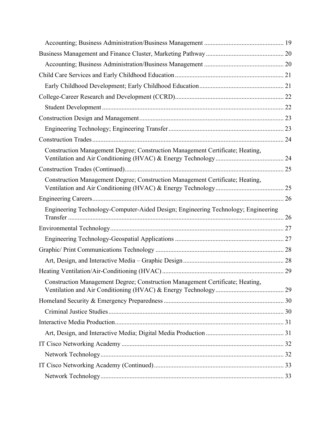| Construction Management Degree; Construction Management Certificate; Heating,     |  |
|-----------------------------------------------------------------------------------|--|
|                                                                                   |  |
|                                                                                   |  |
| Construction Management Degree; Construction Management Certificate; Heating,     |  |
|                                                                                   |  |
|                                                                                   |  |
| Engineering Technology-Computer-Aided Design; Engineering Technology; Engineering |  |
|                                                                                   |  |
|                                                                                   |  |
|                                                                                   |  |
|                                                                                   |  |
|                                                                                   |  |
| Construction Management Degree; Construction Management Certificate; Heating,     |  |
|                                                                                   |  |
|                                                                                   |  |
|                                                                                   |  |
|                                                                                   |  |
|                                                                                   |  |
|                                                                                   |  |
|                                                                                   |  |
|                                                                                   |  |
|                                                                                   |  |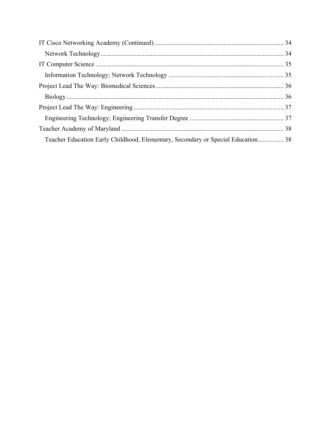| Teacher Education Early Childhood, Elementary, Secondary or Special Education 38 |  |
|----------------------------------------------------------------------------------|--|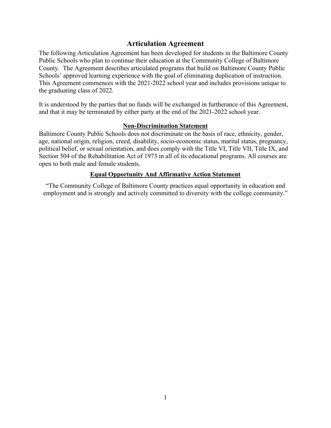# **Articulation Agreement**

<span id="page-5-0"></span>The following Articulation Agreement has been developed for students in the Baltimore County Public Schools who plan to continue their education at the Community College of Baltimore County. The Agreement describes articulated programs that build on Baltimore County Public Schools' approved learning experience with the goal of eliminating duplication of instruction. This Agreement commences with the 2021-2022 school year and includes provisions unique to the graduating class of 2022.

It is understood by the parties that no funds will be exchanged in furtherance of this Agreement, and that it may be terminated by either party at the end of the 2021-2022 school year.

#### **Non-Discrimination Statement**

Baltimore County Public Schools does not discriminate on the basis of race, ethnicity, gender, age, national origin, religion, creed, disability, socio-economic status, marital status, pregnancy, political belief, or sexual orientation, and does comply with the Title VI, Title VII, Title IX, and Section 504 of the Rehabilitation Act of 1973 in all of its educational programs. All courses are open to both male and female students.

# **Equal Opportunity And Affirmative Action Statement**

"The Community College of Baltimore County practices equal opportunity in education and employment and is strongly and actively committed to diversity with the college community."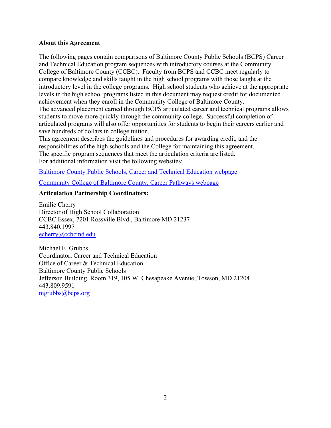#### <span id="page-6-0"></span>**About this Agreement**

The following pages contain comparisons of Baltimore County Public Schools (BCPS) Career and Technical Education program sequences with introductory courses at the Community College of Baltimore County (CCBC). Faculty from BCPS and CCBC meet regularly to compare knowledge and skills taught in the high school programs with those taught at the introductory level in the college programs. High school students who achieve at the appropriate levels in the high school programs listed in this document may request credit for documented achievement when they enroll in the Community College of Baltimore County. The advanced placement earned through BCPS articulated career and technical programs allows

students to move more quickly through the community college. Successful completion of articulated programs will also offer opportunities for students to begin their careers earlier and save hundreds of dollars in college tuition.

This agreement describes the guidelines and procedures for awarding credit, and the responsibilities of the high schools and the College for maintaining this agreement. The specific program sequences that meet the articulation criteria are listed. For additional information visit the following websites:

Baltimore County Public Schools, Career and Technical Education webpage

Community College of Baltimore County, Career Pathways webpage

# **Articulation Partnership Coordinators:**

Emilie Cherry Director of High School Collaboration CCBC Essex, 7201 Rossville Blvd., Baltimore MD 21237 443.840.1997

echerry@ccbcmd.edu<br>Michael E. Grubbs Coordinator, Career and Technical Education Office of Career & Technical Education Baltimore County Public Schools Jefferson Building, Room 319, 105 W. Chesapeake Avenue, Towson, MD 21204 443.809.9591 [mgrubbs@bcps.org](mailto:mgrubbs@bcps.org)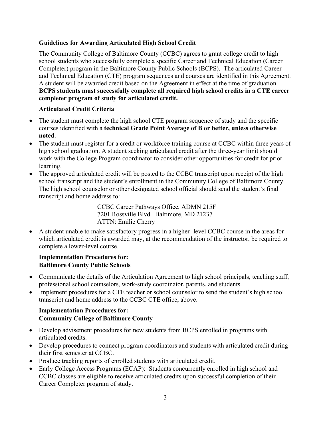# <span id="page-7-0"></span>**Guidelines for Awarding Articulated High School Credit**

The Community College of Baltimore County (CCBC) agrees to grant college credit to high school students who successfully complete a specific Career and Technical Education (Career Completer) program in the Baltimore County Public Schools (BCPS). The articulated Career and Technical Education (CTE) program sequences and courses are identified in this Agreement. A student will be awarded credit based on the Agreement in effect at the time of graduation. **BCPS students must successfully complete all required high school credits in a CTE career completer program of study for articulated credit.** 

# **Articulated Credit Criteria**

- The student must complete the high school CTE program sequence of study and the specific courses identified with a **technical Grade Point Average of B or better, unless otherwise noted**.
- The student must register for a credit or workforce training course at CCBC within three years of high school graduation. A student seeking articulated credit after the three-year limit should work with the College Program coordinator to consider other opportunities for credit for prior learning.
- The approved articulated credit will be posted to the CCBC transcript upon receipt of the high school transcript and the student's enrollment in the Community College of Baltimore County. The high school counselor or other designated school official should send the student's final transcript and home address to:

CCBC Career Pathways Office, ADMN 215F 7201 Rossville Blvd. Baltimore, MD 21237 ATTN: Emilie Cherry

 A student unable to make satisfactory progress in a higher- level CCBC course in the areas for which articulated credit is awarded may, at the recommendation of the instructor, be required to complete a lower-level course.

# **Implementation Procedures for: Baltimore County Public Schools**

- Communicate the details of the Articulation Agreement to high school principals, teaching staff, professional school counselors, work-study coordinator, parents, and students.
- Implement procedures for a CTE teacher or school counselor to send the student's high school transcript and home address to the CCBC CTE office, above.

# **Implementation Procedures for: Community College of Baltimore County**

- Develop advisement procedures for new students from BCPS enrolled in programs with articulated credits.
- Develop procedures to connect program coordinators and students with articulated credit during their first semester at CCBC.
- Produce tracking reports of enrolled students with articulated credit.
- Early College Access Programs (ECAP): Students concurrently enrolled in high school and CCBC classes are eligible to receive articulated credits upon successful completion of their Career Completer program of study.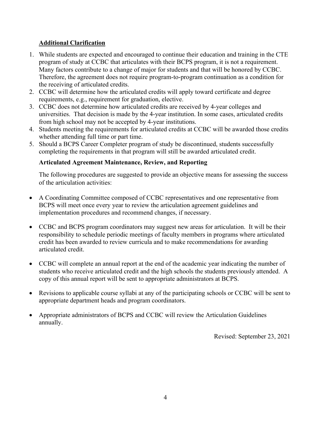# <span id="page-8-0"></span>**Additional Clarification**

- 1. While students are expected and encouraged to continue their education and training in the CTE program of study at CCBC that articulates with their BCPS program, it is not a requirement. Many factors contribute to a change of major for students and that will be honored by CCBC. Therefore, the agreement does not require program-to-program continuation as a condition for the receiving of articulated credits.
- 2. CCBC will determine how the articulated credits will apply toward certificate and degree requirements, e.g., requirement for graduation, elective.
- 3. CCBC does not determine how articulated credits are received by 4-year colleges and universities. That decision is made by the 4-year institution. In some cases, articulated credits from high school may not be accepted by 4-year institutions.
- 4. Students meeting the requirements for articulated credits at CCBC will be awarded those credits whether attending full time or part time.
- 5. Should a BCPS Career Completer program of study be discontinued, students successfully completing the requirements in that program will still be awarded articulated credit.

# **Articulated Agreement Maintenance, Review, and Reporting**

The following procedures are suggested to provide an objective means for assessing the success of the articulation activities:

- A Coordinating Committee composed of CCBC representatives and one representative from BCPS will meet once every year to review the articulation agreement guidelines and implementation procedures and recommend changes, if necessary.
- CCBC and BCPS program coordinators may suggest new areas for articulation. It will be their responsibility to schedule periodic meetings of faculty members in programs where articulated credit has been awarded to review curricula and to make recommendations for awarding articulated credit.
- CCBC will complete an annual report at the end of the academic year indicating the number of students who receive articulated credit and the high schools the students previously attended. A copy of this annual report will be sent to appropriate administrators at BCPS.
- Revisions to applicable course syllabi at any of the participating schools or CCBC will be sent to appropriate department heads and program coordinators.
- Appropriate administrators of BCPS and CCBC will review the Articulation Guidelines annually.

Revised: September 23, 2021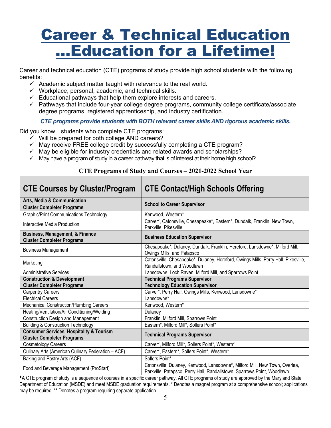# Career & Technical Education …Education for a Lifetime!

Career and technical education (CTE) programs of study provide high school students with the following benefits:

- $\checkmark$  Academic subject matter taught with relevance to the real world.
- $\checkmark$  Workplace, personal, academic, and technical skills.
- $\checkmark$  Educational pathways that help them explore interests and careers.
- $\checkmark$  Pathways that include four-year college degree programs, community college certificate/associate degree programs, registered apprenticeship, and industry certification.

*CTE programs provide students with BOTH relevant career skills AND rigorous academic skills.* 

Did you know…students who complete CTE programs:

- $\checkmark$  Will be prepared for both college AND careers?
- $\checkmark$  May receive FREE college credit by successfully completing a CTE program?
- $\checkmark$  May be eligible for industry credentials and related awards and scholarships?
- $\checkmark$  May have a program of study in a career pathway that is of interest at their home high school?

| <b>CTE Courses by Cluster/Program</b>                                                    | <b>CTE Contact/High Schools Offering</b>                                                                         |
|------------------------------------------------------------------------------------------|------------------------------------------------------------------------------------------------------------------|
| <b>Arts, Media &amp; Communication</b><br><b>Cluster Completer Programs</b>              | <b>School to Career Supervisor</b>                                                                               |
| <b>Graphic/Print Communications Technology</b>                                           | Kenwood, Western*                                                                                                |
| Interactive Media Production                                                             | Carver*, Catonsville, Chesapeake*, Eastern*, Dundalk, Franklin, New Town,<br>Parkville, Pikesville               |
| <b>Business, Management, &amp; Finance</b><br><b>Cluster Completer Programs</b>          | <b>Business Education Supervisor</b>                                                                             |
| <b>Business Management</b>                                                               | Chesapeake*, Dulaney, Dundalk, Franklin, Hereford, Lansdowne*, Milford Mill,<br>Owings Mills, and Patapsco       |
| Marketing                                                                                | Catonsville, Chesapeake*, Dulaney, Hereford, Owings Mills, Perry Hall, Pikesville,<br>Randallstown, and Woodlawn |
| <b>Administrative Services</b>                                                           | Lansdowne, Loch Raven, Milford Mill, and Sparrows Point                                                          |
| <b>Construction &amp; Development</b>                                                    | <b>Technical Programs Supervisor</b>                                                                             |
| <b>Cluster Completer Programs</b>                                                        | <b>Technology Education Supervisor</b>                                                                           |
| <b>Carpentry Careers</b>                                                                 | Carver*, Perry Hall, Owings Mills, Kenwood, Lansdowne*                                                           |
| <b>Electrical Careers</b>                                                                | Lansdowne*                                                                                                       |
| <b>Mechanical Construction/Plumbing Careers</b>                                          | Kenwood, Western*                                                                                                |
| Heating/Ventilation/Air Conditioning/Welding                                             | Dulaney                                                                                                          |
| <b>Construction Design and Management</b>                                                | Franklin, Milford Mill, Sparrows Point                                                                           |
| <b>Building &amp; Construction Technology</b>                                            | Eastern*, Milford Mill*, Sollers Point*                                                                          |
| <b>Consumer Services, Hospitality &amp; Tourism</b><br><b>Cluster Completer Programs</b> | <b>Technical Programs Supervisor</b>                                                                             |
| <b>Cosmetology Careers</b>                                                               | Carver*, Milford Mill*, Sollers Point*, Western*                                                                 |
| Culinary Arts (American Culinary Federation - ACF)                                       | Carver*, Eastern*, Sollers Point*, Western*                                                                      |
| Baking and Pastry Arts (ACF)                                                             | Sollers Point*                                                                                                   |
|                                                                                          | Catonsville, Dulaney, Kenwood, Lansdowne*, Milford Mill, New Town, Overlea,                                      |

# **CTE Programs of Study and Courses – 2021-2022 School Year**

A CTE program of study is a sequence of courses in a specific career pathway. All CTE programs of study are approved by the Maryland State Department of Education (MSDE) and meet MSDE graduation requirements. \* Denotes a magnet program at a comprehensive school; applications may be required. \*\* Denotes a program requiring separate application.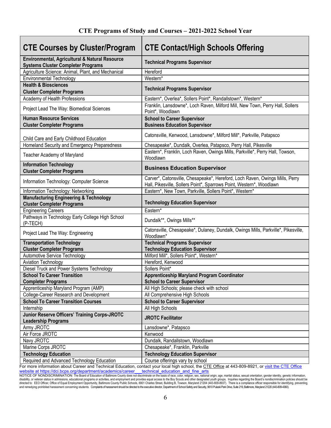| <b>CTE Courses by Cluster/Program</b>                                                       | <b>CTE Contact/High Schools Offering</b>                                                                                                             |
|---------------------------------------------------------------------------------------------|------------------------------------------------------------------------------------------------------------------------------------------------------|
| Environmental, Agricultural & Natural Resource<br><b>Systems Cluster Completer Programs</b> | <b>Technical Programs Supervisor</b>                                                                                                                 |
| Agriculture Science: Animal, Plant, and Mechanical                                          | Hereford                                                                                                                                             |
| <b>Environmental Technology</b>                                                             | Western*                                                                                                                                             |
| <b>Health &amp; Biosciences</b><br><b>Cluster Completer Programs</b>                        | <b>Technical Programs Supervisor</b>                                                                                                                 |
| Academy of Health Professions                                                               | Eastern*, Overlea*, Sollers Point*, Randallstown*, Western*                                                                                          |
| Project Lead The Way: Biomedical Sciences                                                   | Franklin, Lansdowne*, Loch Raven, Milford Mill, New Town, Perry Hall, Sollers<br>Point*, Woodlawn                                                    |
| <b>Human Resource Services</b>                                                              | <b>School to Career Supervisor</b>                                                                                                                   |
| <b>Cluster Completer Programs</b>                                                           | <b>Business Education Supervisor</b>                                                                                                                 |
|                                                                                             |                                                                                                                                                      |
| Child Care and Early Childhood Education                                                    | Catonsville, Kenwood, Lansdowne*, Milford Mill*, Parkville, Patapsco                                                                                 |
| Homeland Security and Emergency Preparedness                                                | Chesapeake*, Dundalk, Overlea, Patapsco, Perry Hall, Pikesville                                                                                      |
| Teacher Academy of Maryland                                                                 | Eastern*, Franklin, Loch Raven, Owings Mills, Parkville*, Perry Hall, Towson,<br>Woodlawn                                                            |
| <b>Information Technology</b><br><b>Cluster Completer Programs</b>                          | <b>Business Education Supervisor</b>                                                                                                                 |
| Information Technology: Computer Science                                                    | Carver*, Catonsville, Chesapeake*, Hereford, Loch Raven, Owings Mills, Perry<br>Hall, Pikesville, Sollers Point*, Sparrows Point, Western*, Woodlawn |
| Information Technology: Networking                                                          | Eastern*, New Town, Parkville, Sollers Point*, Western*                                                                                              |
| <b>Manufacturing Engineering &amp; Technology</b><br><b>Cluster Completer Programs</b>      | <b>Technology Education Supervisor</b>                                                                                                               |
| <b>Engineering Careers</b>                                                                  | Eastern*                                                                                                                                             |
| Pathways in Technology Early College High School<br>(P-TECH)                                | Dundalk**, Owings Mills**                                                                                                                            |
| Project Lead The Way: Engineering                                                           | Catonsville, Chesapeake*, Dulaney, Dundalk, Owings Mills, Parkville*, Pikesville,<br>Woodlawn*                                                       |
| <b>Transportation Technology</b>                                                            | <b>Technical Programs Supervisor</b>                                                                                                                 |
| <b>Cluster Completer Programs</b>                                                           | <b>Technology Education Supervisor</b>                                                                                                               |
| Automotive Service Technology                                                               | Milford Mill*, Sollers Point*, Western*                                                                                                              |
| <b>Aviation Technology</b>                                                                  | Hereford, Kenwood                                                                                                                                    |
| Diesel Truck and Power Systems Technology                                                   | Sollers Point*                                                                                                                                       |
| <b>School To Career Transition</b><br><b>Completer Programs</b>                             | <b>Apprenticeship Maryland Program Coordinator</b><br><b>School to Career Supervisor</b>                                                             |
| Apprenticeship Maryland Program (AMP)                                                       | All High Schools; please check with school                                                                                                           |
| College-Career Research and Development                                                     | All Comprehensive High Schools                                                                                                                       |
| <b>School To Career Transition Courses</b>                                                  | <b>School to Career Supervisor</b>                                                                                                                   |
| Internship                                                                                  | All High Schools                                                                                                                                     |
| Junior Reserve Officers' Training Corps-JROTC<br><b>Leadership Programs</b>                 | <b>JROTC Facilitator</b>                                                                                                                             |
| Army JROTC                                                                                  | Lansdowne*, Patapsco                                                                                                                                 |
| Air Force JROTC                                                                             | Kenwood                                                                                                                                              |
| Navy JROTC                                                                                  | Dundalk, Randallstown, Woodlawn                                                                                                                      |
| Marine Corps JROTC                                                                          | Chesapeake*, Franklin, Parkville                                                                                                                     |
| <b>Technology Education</b>                                                                 | <b>Technology Education Supervisor</b>                                                                                                               |
| Required and Advanced Technology Education                                                  | Course offerings vary by school                                                                                                                      |

#### j. For more information about Career and Technical Education, contact your local high school, the CTE Office at 443-809-8921, or visit the CTE Office

; Website at https://dci.bcps.org/department/academics/career technical education and fine arts<br>NOTICE OF NONDISCRIMINATION: The Board of Education of Baltimore County does not discriminate on the basis of race, color, relig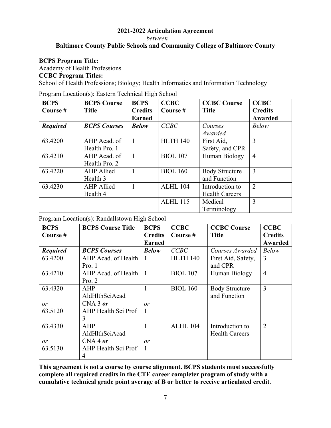*between* 

# **Baltimore County Public Schools and Community College of Baltimore County**

#### **BCPS Program Title:**

Academy of Health Professions

#### **CCBC Program Titles:**

School of Health Professions; Biology; Health Informatics and Information Technology

Program Location(s): Eastern Technical High School

| <b>BCPS</b>     | <b>BCPS Course</b>  | <b>BCPS</b>    | <b>CCBC</b>     | <b>CCBC Course</b>    | <b>CCBC</b>    |
|-----------------|---------------------|----------------|-----------------|-----------------------|----------------|
| Course #        | <b>Title</b>        | <b>Credits</b> | Course #        | <b>Title</b>          | <b>Credits</b> |
|                 |                     | <b>Earned</b>  |                 |                       | Awarded        |
| <b>Required</b> | <b>BCPS</b> Courses | <b>Below</b>   | CCBC            | Courses               | <b>Below</b>   |
|                 |                     |                |                 | Awarded               |                |
| 63.4200         | AHP Acad. of        |                | <b>HLTH 140</b> | First Aid,            | 3              |
|                 | Health Pro. 1       |                |                 | Safety, and CPR       |                |
| 63.4210         | AHP Acad. of        | $\mathbf{1}$   | <b>BIOL 107</b> | Human Biology         | $\overline{4}$ |
|                 | Health Pro. 2       |                |                 |                       |                |
| 63.4220         | <b>AHP</b> Allied   |                | <b>BIOL 160</b> | <b>Body Structure</b> | 3              |
|                 | Health 3            |                |                 | and Function          |                |
| 63.4230         | <b>AHP</b> Allied   |                | ALHL 104        | Introduction to       | $\overline{2}$ |
|                 | Health 4            |                |                 | <b>Health Careers</b> |                |
|                 |                     |                | <b>ALHL 115</b> | Medical               | 3              |
|                 |                     |                |                 | Terminology           |                |

Program Location(s): Randallstown High School

| <b>BCPS</b>     | <b>BCPS Course Title</b> | <b>BCPS</b>    | <b>CCBC</b>     | <b>CCBC Course</b>    | <b>CCBC</b>    |
|-----------------|--------------------------|----------------|-----------------|-----------------------|----------------|
| Course #        |                          | <b>Credits</b> | Course #        | <b>Title</b>          | <b>Credits</b> |
|                 |                          | <b>Earned</b>  |                 |                       | Awarded        |
| <b>Required</b> | <b>BCPS Courses</b>      | <b>Below</b>   | CCBC            | Courses Awarded       | <b>Below</b>   |
| 63.4200         | AHP Acad. of Health      |                | <b>HLTH 140</b> | First Aid, Safety,    | 3              |
|                 | Pro. 1                   |                |                 | and CPR               |                |
| 63.4210         | AHP Acad. of Health      | $\mathbf{1}$   | <b>BIOL 107</b> | Human Biology         | $\overline{4}$ |
|                 | Pro. 2                   |                |                 |                       |                |
| 63.4320         | AHP                      | 1              | <b>BIOL 160</b> | <b>Body Structure</b> | 3              |
|                 | AldHlthSciAcad           |                |                 | and Function          |                |
| or              | $CNA$ 3 or               | or             |                 |                       |                |
| 63.5120         | AHP Health Sci Prof      |                |                 |                       |                |
|                 | 3                        |                |                 |                       |                |
| 63.4330         | AHP                      | 1              | ALHL 104        | Introduction to       | $\overline{2}$ |
|                 | AldHlthSciAcad           |                |                 | <b>Health Careers</b> |                |
| or              | $CNA$ 4 or               | or             |                 |                       |                |
| 63.5130         | AHP Health Sci Prof      | 1              |                 |                       |                |
|                 | 4                        |                |                 |                       |                |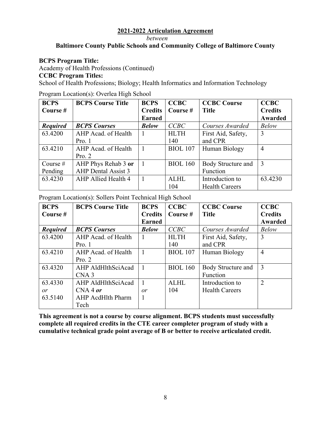#### *between*

# **Baltimore County Public Schools and Community College of Baltimore County**

#### **BCPS Program Title:**

Academy of Health Professions (Continued)

#### **CCBC Program Titles:**

School of Health Professions; Biology; Health Informatics and Information Technology

Program Location(s): Overlea High School

| <b>BCPS</b>     | <b>BCPS Course Title</b> | <b>BCPS</b>    | <b>CCBC</b>     | <b>CCBC Course</b>    | <b>CCBC</b>    |
|-----------------|--------------------------|----------------|-----------------|-----------------------|----------------|
| Course $#$      |                          | <b>Credits</b> | Course $#$      | <b>Title</b>          | <b>Credits</b> |
|                 |                          | <b>Earned</b>  |                 |                       | Awarded        |
| <b>Required</b> | <b>BCPS Courses</b>      | <b>Below</b>   | CCBC            | Courses Awarded       | <b>Below</b>   |
| 63.4200         | AHP Acad. of Health      |                | <b>HLTH</b>     | First Aid, Safety,    | 3              |
|                 | Pro. 1                   |                | 140             | and CPR               |                |
| 63.4210         | AHP Acad. of Health      |                | <b>BIOL 107</b> | Human Biology         | 4              |
|                 | Pro. 2                   |                |                 |                       |                |
| Course $#$      | AHP Phys Rehab 3 or      |                | <b>BIOL 160</b> | Body Structure and    | 3              |
| Pending         | AHP Dental Assist 3      |                |                 | Function              |                |
| 63.4230         | AHP Allied Health 4      |                | <b>ALHL</b>     | Introduction to       | 63.4230        |
|                 |                          |                | 104             | <b>Health Careers</b> |                |

Program Location(s): Sollers Point Technical High School

| <b>BCPS</b>     | <b>BCPS Course Title</b> | <b>BCPS</b>    | <b>CCBC</b>     | <b>CCBC Course</b>    | <b>CCBC</b>    |
|-----------------|--------------------------|----------------|-----------------|-----------------------|----------------|
| Course #        |                          | <b>Credits</b> | Course $#$      | <b>Title</b>          | <b>Credits</b> |
|                 |                          | <b>Earned</b>  |                 |                       | Awarded        |
| <b>Required</b> | <b>BCPS Courses</b>      | <b>Below</b>   | CCBC            | Courses Awarded       | <b>Below</b>   |
| 63.4200         | AHP Acad. of Health      |                | <b>HLTH</b>     | First Aid, Safety,    | 3              |
|                 | Pro. 1                   |                | 140             | and CPR               |                |
| 63.4210         | AHP Acad. of Health      |                | <b>BIOL</b> 107 | Human Biology         | $\overline{4}$ |
|                 | Pro. 2                   |                |                 |                       |                |
| 63.4320         | AHP AldHlthSciAcad       |                | <b>BIOL 160</b> | Body Structure and    | 3              |
|                 | CNA <sub>3</sub>         |                |                 | Function              |                |
| 63.4330         | AHP AldHlthSciAcad       |                | <b>ALHL</b>     | Introduction to       | $\overline{2}$ |
| or              | $CNA$ 4 or               | or             | 104             | <b>Health Careers</b> |                |
| 63.5140         | AHP AcdHlth Pharm        |                |                 |                       |                |
|                 | Tech                     |                |                 |                       |                |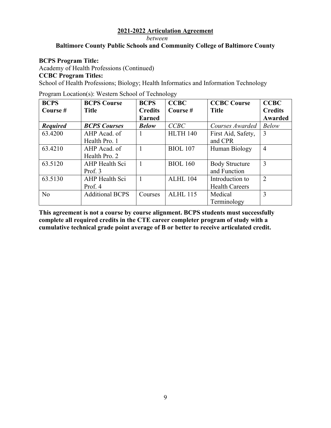*between* 

# **Baltimore County Public Schools and Community College of Baltimore County**

#### **BCPS Program Title:**

Academy of Health Professions (Continued)

**CCBC Program Titles:** 

School of Health Professions; Biology; Health Informatics and Information Technology

Program Location(s): Western School of Technology

| <b>BCPS</b>     | <b>BCPS Course</b>     | <b>BCPS</b>    | <b>CCBC</b>     | <b>CCBC Course</b>    | <b>CCBC</b>    |
|-----------------|------------------------|----------------|-----------------|-----------------------|----------------|
| Course #        | <b>Title</b>           | <b>Credits</b> | Course #        | <b>Title</b>          | <b>Credits</b> |
|                 |                        | <b>Earned</b>  |                 |                       | Awarded        |
| <b>Required</b> | <b>BCPS Courses</b>    | <b>Below</b>   | CCBC            | Courses Awarded       | <b>Below</b>   |
| 63.4200         | AHP Acad. of           |                | <b>HLTH 140</b> | First Aid, Safety,    | $\overline{3}$ |
|                 | Health Pro. 1          |                |                 | and CPR               |                |
| 63.4210         | AHP Acad. of           |                | <b>BIOL 107</b> | Human Biology         | 4              |
|                 | Health Pro. 2          |                |                 |                       |                |
| 63.5120         | AHP Health Sci         |                | <b>BIOL 160</b> | <b>Body Structure</b> | 3              |
|                 | Prof. 3                |                |                 | and Function          |                |
| 63.5130         | AHP Health Sci         |                | <b>ALHL 104</b> | Introduction to       | $\overline{2}$ |
|                 | Prof. 4                |                |                 | <b>Health Careers</b> |                |
| N <sub>o</sub>  | <b>Additional BCPS</b> | Courses        | <b>ALHL 115</b> | Medical               | 3              |
|                 |                        |                |                 | Terminology           |                |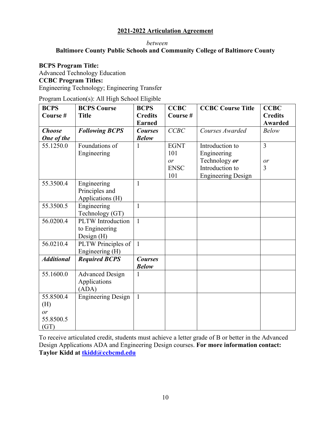#### *between*

# **Baltimore County Public Schools and Community College of Baltimore County**

#### **BCPS Program Title:**

Advanced Technology Education **CCBC Program Titles:**  Engineering Technology; Engineering Transfer

Program Location(s): All High School Eligible

| <b>BCPS</b>       | <b>BCPS Course</b>        | <b>BCPS</b>    | <b>CCBC</b> | <b>CCBC Course Title</b>  | <b>CCBC</b>    |
|-------------------|---------------------------|----------------|-------------|---------------------------|----------------|
| Course #          | <b>Title</b>              | <b>Credits</b> | Course#     |                           | <b>Credits</b> |
|                   |                           | <b>Earned</b>  |             |                           | <b>Awarded</b> |
| <b>Choose</b>     | <b>Following BCPS</b>     | <b>Courses</b> | CCBC        | Courses Awarded           | <b>Below</b>   |
| One of the        |                           | <b>Below</b>   |             |                           |                |
| 55.1250.0         | Foundations of            | 1              | <b>EGNT</b> | Introduction to           | $\overline{3}$ |
|                   | Engineering               |                | 101         | Engineering               |                |
|                   |                           |                | or          | Technology or             | or             |
|                   |                           |                | <b>ENSC</b> | Introduction to           | 3              |
|                   |                           |                | 101         | <b>Engineering Design</b> |                |
| 55.3500.4         | Engineering               | $\mathbf{1}$   |             |                           |                |
|                   | Principles and            |                |             |                           |                |
|                   | Applications (H)          |                |             |                           |                |
| 55.3500.5         | Engineering               | $\mathbf{1}$   |             |                           |                |
|                   | Technology (GT)           |                |             |                           |                |
| 56.0200.4         | <b>PLTW</b> Introduction  | $\mathbf{1}$   |             |                           |                |
|                   | to Engineering            |                |             |                           |                |
|                   | Design $(H)$              |                |             |                           |                |
| 56.0210.4         | PLTW Principles of        | $\mathbf{1}$   |             |                           |                |
|                   | Engineering (H)           |                |             |                           |                |
| <b>Additional</b> | <b>Required BCPS</b>      | <b>Courses</b> |             |                           |                |
|                   |                           | <b>Below</b>   |             |                           |                |
| 55.1600.0         | <b>Advanced Design</b>    | $\mathbf{1}$   |             |                           |                |
|                   | Applications              |                |             |                           |                |
|                   | (ADA)                     |                |             |                           |                |
| 55.8500.4         | <b>Engineering Design</b> | $\mathbf{1}$   |             |                           |                |
| (H)               |                           |                |             |                           |                |
| or                |                           |                |             |                           |                |
| 55.8500.5         |                           |                |             |                           |                |
| (GT)              |                           |                |             |                           |                |

To receive articulated credit, students must achieve a letter grade of B or better in the Advanced Design Applications ADA and Engineering Design courses. **For more information contact: Taylor Kidd at [tkidd@ccbcmd.edu](mailto:tkidd@ccbcmd.edu)**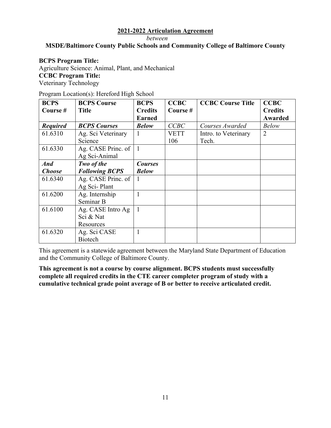*between* 

# **MSDE/Baltimore County Public Schools and Community College of Baltimore County**

#### **BCPS Program Title:**

Agriculture Science: Animal, Plant, and Mechanical **CCBC Program Title:**  Veterinary Technology

| Program Location(s): Hereford High School |  |  |
|-------------------------------------------|--|--|
|                                           |  |  |

| <b>BCPS</b>     | <b>BCPS Course</b>    | <b>BCPS</b>    | <b>CCBC</b> | <b>CCBC Course Title</b> | <b>CCBC</b>    |
|-----------------|-----------------------|----------------|-------------|--------------------------|----------------|
| Course #        | <b>Title</b>          | <b>Credits</b> | Course#     |                          | <b>Credits</b> |
|                 |                       | <b>Earned</b>  |             |                          | Awarded        |
| <b>Required</b> | <b>BCPS Courses</b>   | <b>Below</b>   | CCBC        | Courses Awarded          | <b>Below</b>   |
| 61.6310         | Ag. Sci Veterinary    |                | <b>VETT</b> | Intro. to Veterinary     | $\overline{2}$ |
|                 | Science               |                | 106         | Tech.                    |                |
| 61.6330         | Ag. CASE Princ. of    | $\overline{1}$ |             |                          |                |
|                 | Ag Sci-Animal         |                |             |                          |                |
| <b>And</b>      | Two of the            | <b>Courses</b> |             |                          |                |
| <b>Choose</b>   | <b>Following BCPS</b> | <b>Below</b>   |             |                          |                |
| 61.6340         | Ag. CASE Princ. of    |                |             |                          |                |
|                 | Ag Sci-Plant          |                |             |                          |                |
| 61.6200         | Ag. Internship        |                |             |                          |                |
|                 | Seminar B             |                |             |                          |                |
| 61.6100         | Ag. CASE Intro Ag     | $\overline{1}$ |             |                          |                |
|                 | Sci & Nat             |                |             |                          |                |
|                 | Resources             |                |             |                          |                |
| 61.6320         | Ag. Sci CASE          |                |             |                          |                |
|                 | <b>Biotech</b>        |                |             |                          |                |

This agreement is a statewide agreement between the Maryland State Department of Education and the Community College of Baltimore County.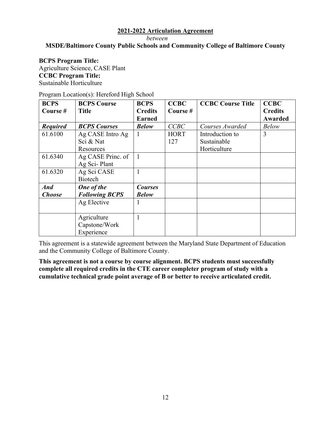*between* 

# **MSDE/Baltimore County Public Schools and Community College of Baltimore County**

#### **BCPS Program Title:**

Agriculture Science, CASE Plant **CCBC Program Title:**  Sustainable Horticulture

| Program Location(s): Hereford High School |  |  |
|-------------------------------------------|--|--|
|                                           |  |  |

| <b>BCPS</b>     | <b>BCPS Course</b>    | <b>BCPS</b>    | <b>CCBC</b> | <b>CCBC Course Title</b> | <b>CCBC</b>    |
|-----------------|-----------------------|----------------|-------------|--------------------------|----------------|
| Course #        | <b>Title</b>          | <b>Credits</b> | Course#     |                          | <b>Credits</b> |
|                 |                       | <b>Earned</b>  |             |                          | Awarded        |
| <b>Required</b> | <b>BCPS Courses</b>   | <b>Below</b>   | CCBC        | Courses Awarded          | <b>Below</b>   |
| 61.6100         | Ag CASE Intro Ag      |                | <b>HORT</b> | Introduction to          | 3              |
|                 | Sci & Nat             |                | 127         | Sustainable              |                |
|                 | Resources             |                |             | Horticulture             |                |
| 61.6340         | Ag CASE Princ. of     |                |             |                          |                |
|                 | Ag Sci-Plant          |                |             |                          |                |
| 61.6320         | Ag Sci CASE           |                |             |                          |                |
|                 | <b>Biotech</b>        |                |             |                          |                |
| <b>And</b>      | One of the            | <b>Courses</b> |             |                          |                |
| <b>Choose</b>   | <b>Following BCPS</b> | <b>Below</b>   |             |                          |                |
|                 | Ag Elective           |                |             |                          |                |
|                 |                       |                |             |                          |                |
|                 | Agriculture           |                |             |                          |                |
|                 | Capstone/Work         |                |             |                          |                |
|                 | Experience            |                |             |                          |                |

This agreement is a statewide agreement between the Maryland State Department of Education and the Community College of Baltimore County.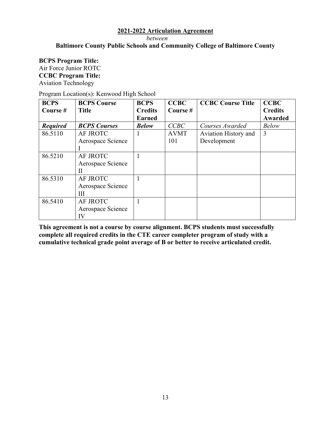*between* 

# **Baltimore County Public Schools and Community College of Baltimore County**

#### **BCPS Program Title:** Air Force Junior ROTC **CCBC Program Title:**  Aviation Technology

| Program Location(s): Kenwood High School |  |  |  |  |  |  |
|------------------------------------------|--|--|--|--|--|--|
|------------------------------------------|--|--|--|--|--|--|

| <b>BCPS</b>     | <b>BCPS Course</b>  | <b>BCPS</b>    | <b>CCBC</b> | <b>CCBC Course Title</b> | <b>CCBC</b>    |
|-----------------|---------------------|----------------|-------------|--------------------------|----------------|
| Course #        | <b>Title</b>        | <b>Credits</b> | Course #    |                          | <b>Credits</b> |
|                 |                     | <b>Earned</b>  |             |                          | Awarded        |
| <b>Required</b> | <b>BCPS Courses</b> | <b>Below</b>   | CCBC        | Courses Awarded          | <b>Below</b>   |
| 86.5110         | AF JROTC            |                | <b>AVMT</b> | Aviation History and     | 3              |
|                 | Aerospace Science   |                | 101         | Development              |                |
|                 |                     |                |             |                          |                |
| 86.5210         | AF JROTC            |                |             |                          |                |
|                 | Aerospace Science   |                |             |                          |                |
|                 | П                   |                |             |                          |                |
| 86.5310         | AF JROTC            |                |             |                          |                |
|                 | Aerospace Science   |                |             |                          |                |
|                 | Ш                   |                |             |                          |                |
| 86.5410         | AF JROTC            |                |             |                          |                |
|                 | Aerospace Science   |                |             |                          |                |
|                 | IV                  |                |             |                          |                |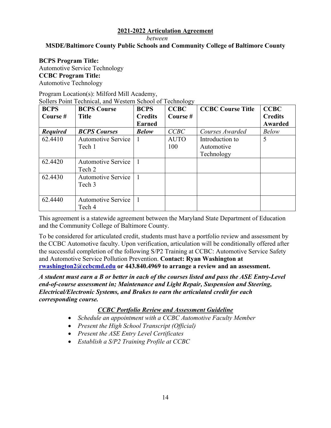*between* 

# **MSDE/Baltimore County Public Schools and Community College of Baltimore County**

#### **BCPS Program Title:**

Automotive Service Technology **CCBC Program Title:**  Automotive Technology

#### Program Location(s): Milford Mill Academy, Sollers Point Technical, and Western School of Technology

| <b>BCPS</b>     | <b>BCPS Course</b>        | <b>BCPS</b>    | OJ.<br><b>CCBC</b> | <b>CCBC Course Title</b> | <b>CCBC</b>    |
|-----------------|---------------------------|----------------|--------------------|--------------------------|----------------|
| Course #        | <b>Title</b>              | <b>Credits</b> | Course#            |                          | <b>Credits</b> |
|                 |                           | <b>Earned</b>  |                    |                          | Awarded        |
| <b>Required</b> | <b>BCPS Courses</b>       | <b>Below</b>   | CCBC               | Courses Awarded          | <b>Below</b>   |
| 62.4410         | <b>Automotive Service</b> |                | <b>AUTO</b>        | Introduction to          | 5              |
|                 | Tech 1                    |                | 100                | Automotive               |                |
|                 |                           |                |                    | Technology               |                |
| 62.4420         | <b>Automotive Service</b> |                |                    |                          |                |
|                 | Tech 2                    |                |                    |                          |                |
| 62.4430         | <b>Automotive Service</b> |                |                    |                          |                |
|                 | Tech 3                    |                |                    |                          |                |
|                 |                           |                |                    |                          |                |
| 62.4440         | <b>Automotive Service</b> |                |                    |                          |                |
|                 | Tech 4                    |                |                    |                          |                |

This agreement is a statewide agreement between the Maryland State Department of Education and the Community College of Baltimore County.

To be considered for articulated credit, students must have a portfolio review and assessment by the CCBC Automotive faculty. Upon verification, articulation will be conditionally offered after the successful completion of the following S/P2 Training at CCBC: Automotive Service Safety and Automotive Service Pollution Prevention. **Contact: Ryan Washington at [rwashington2@ccbcmd.edu](mailto:rwashington2@ccbcmd.edu) or 443.840.4969 to arrange a review and an assessment.** 

*A student must earn a B or better in each of the courses listed and pass the ASE Entry-Level end-of-course assessment in; Maintenance and Light Repair, Suspension and Steering, Electrical/Electronic Systems, and Brakes to earn the articulated credit for each corresponding course.* 

# *CCBC Portfolio Review and Assessment Guideline*

- *Schedule an appointment with a CCBC Automotive Faculty Member*
- *Present the High School Transcript (Official)*
- *Present the ASE Entry Level Certificates*
- *Establish a S/P2 Training Profile at CCBC*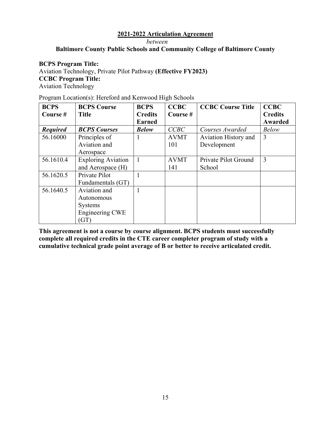*between* 

# **Baltimore County Public Schools and Community College of Baltimore County**

#### **BCPS Program Title:**

Aviation Technology, Private Pilot Pathway **(Effective FY2023) CCBC Program Title:**  Aviation Technology

#### Program Location(s): Hereford and Kenwood High Schools

| <b>BCPS</b>     | <b>BCPS Course</b>        | <b>BCPS</b>    | <b>CCBC</b> | <b>CCBC Course Title</b> | <b>CCBC</b>    |
|-----------------|---------------------------|----------------|-------------|--------------------------|----------------|
| Course #        | <b>Title</b>              | <b>Credits</b> | Course#     |                          | <b>Credits</b> |
|                 |                           | <b>Earned</b>  |             |                          | <b>Awarded</b> |
| <b>Required</b> | <b>BCPS Courses</b>       | <b>Below</b>   | CCBC        | Courses Awarded          | <b>Below</b>   |
| 56.16000        | Principles of             |                | <b>AVMT</b> | Aviation History and     | $\overline{3}$ |
|                 | Aviation and              |                | 101         | Development              |                |
|                 | Aerospace                 |                |             |                          |                |
| 56.1610.4       | <b>Exploring Aviation</b> | $\mathbf{1}$   | <b>AVMT</b> | Private Pilot Ground     | 3              |
|                 | and Aerospace (H)         |                | 141         | School                   |                |
| 56.1620.5       | Private Pilot             |                |             |                          |                |
|                 | Fundamentals (GT)         |                |             |                          |                |
| 56.1640.5       | Aviation and              |                |             |                          |                |
|                 | Autonomous                |                |             |                          |                |
|                 | <b>Systems</b>            |                |             |                          |                |
|                 | Engineering CWE           |                |             |                          |                |
|                 | (GT)                      |                |             |                          |                |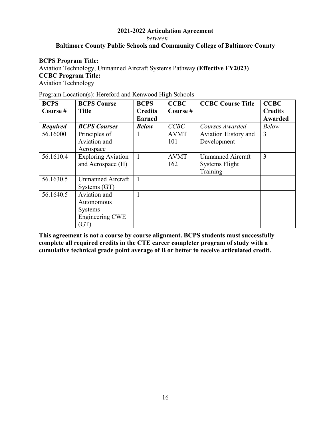*between* 

# **Baltimore County Public Schools and Community College of Baltimore County**

#### **BCPS Program Title:**

Aviation Technology, Unmanned Aircraft Systems Pathway **(Effective FY2023) CCBC Program Title:**  Aviation Technology

|  |  | Program Location(s): Hereford and Kenwood High Schools |  |
|--|--|--------------------------------------------------------|--|
|  |  |                                                        |  |

| <b>BCPS</b>     | <b>BCPS Course</b>        | <b>BCPS</b>    | <b>CCBC</b> | <b>CCBC Course Title</b> | <b>CCBC</b>    |
|-----------------|---------------------------|----------------|-------------|--------------------------|----------------|
| Course #        | <b>Title</b>              | <b>Credits</b> | Course #    |                          | <b>Credits</b> |
|                 |                           | <b>Earned</b>  |             |                          | <b>Awarded</b> |
| <b>Required</b> | <b>BCPS Courses</b>       | <b>Below</b>   | CCBC        | Courses Awarded          | <b>Below</b>   |
| 56.16000        | Principles of             |                | <b>AVMT</b> | Aviation History and     | $\overline{3}$ |
|                 | Aviation and              |                | 101         | Development              |                |
|                 | Aerospace                 |                |             |                          |                |
| 56.1610.4       | <b>Exploring Aviation</b> | $\mathbf{1}$   | <b>AVMT</b> | <b>Unmanned Aircraft</b> | 3              |
|                 | and Aerospace (H)         |                | 162         | Systems Flight           |                |
|                 |                           |                |             | Training                 |                |
| 56.1630.5       | <b>Unmanned Aircraft</b>  |                |             |                          |                |
|                 | Systems (GT)              |                |             |                          |                |
| 56.1640.5       | Aviation and              |                |             |                          |                |
|                 | Autonomous                |                |             |                          |                |
|                 | <b>Systems</b>            |                |             |                          |                |
|                 | Engineering CWE           |                |             |                          |                |
|                 | (GT)                      |                |             |                          |                |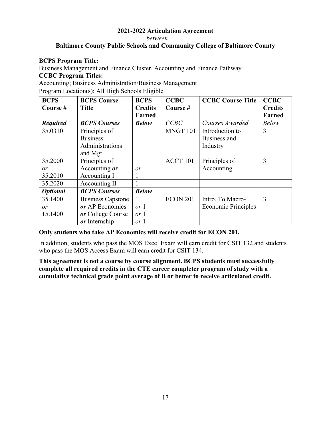*between* 

# **Baltimore County Public Schools and Community College of Baltimore County**

#### **BCPS Program Title:**

Business Management and Finance Cluster, Accounting and Finance Pathway

#### **CCBC Program Titles:**

Accounting; Business Administration/Business Management

Program Location(s): All High Schools Eligible

| <b>BCPS</b>     | <b>BCPS Course</b>       | <b>BCPS</b>    | <b>CCBC</b>     | <b>CCBC Course Title</b> | <b>CCBC</b>    |
|-----------------|--------------------------|----------------|-----------------|--------------------------|----------------|
| Course #        | <b>Title</b>             | <b>Credits</b> | Course #        |                          | <b>Credits</b> |
|                 |                          | <b>Earned</b>  |                 |                          | <b>Earned</b>  |
| <b>Required</b> | <b>BCPS Courses</b>      | <b>Below</b>   | CCBC            | Courses Awarded          | <b>Below</b>   |
| 35.0310         | Principles of            |                | MNGT 101        | Introduction to          | 3              |
|                 | <b>Business</b>          |                |                 | Business and             |                |
|                 | Administrations          |                |                 | Industry                 |                |
|                 | and Mgt.                 |                |                 |                          |                |
| 35.2000         | Principles of            |                | ACCT 101        | Principles of            | 3              |
| or              | Accounting or            | or             |                 | Accounting               |                |
| 35.2010         | Accounting I             | $\mathbf{I}$   |                 |                          |                |
| 35.2020         | Accounting II            |                |                 |                          |                |
| <b>Optional</b> | <b>BCPS Courses</b>      | <b>Below</b>   |                 |                          |                |
| 35.1400         | <b>Business Capstone</b> |                | <b>ECON 201</b> | Intro. To Macro-         | 3              |
| or              | or AP Economics          | or 1           |                 | Economic Principles      |                |
| 15.1400         | or College Course        | or 1           |                 |                          |                |
|                 | or Internship            | or 1           |                 |                          |                |

#### **Only students who take AP Economics will receive credit for ECON 201.**

In addition, students who pass the MOS Excel Exam will earn credit for CSIT 132 and students who pass the MOS Access Exam will earn credit for CSIT 134.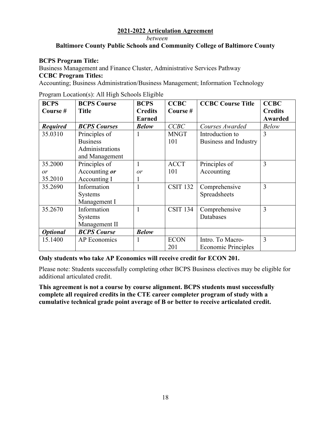*between* 

# **Baltimore County Public Schools and Community College of Baltimore County**

#### **BCPS Program Title:**

Business Management and Finance Cluster, Administrative Services Pathway

#### **CCBC Program Titles:**

Accounting; Business Administration/Business Management; Information Technology

| <b>BCPS</b>     | <b>BCPS Course</b>  | <b>BCPS</b>    | <b>CCBC</b>     | <b>CCBC Course Title</b>   | <b>CCBC</b>    |
|-----------------|---------------------|----------------|-----------------|----------------------------|----------------|
| Course #        | <b>Title</b>        | <b>Credits</b> | Course#         |                            | <b>Credits</b> |
|                 |                     | <b>Earned</b>  |                 |                            | <b>Awarded</b> |
| <b>Required</b> | <b>BCPS Courses</b> | <b>Below</b>   | CCBC            | Courses Awarded            | <b>Below</b>   |
| 35.0310         | Principles of       |                | <b>MNGT</b>     | Introduction to            | 3              |
|                 | <b>Business</b>     |                | 101             | Business and Industry      |                |
|                 | Administrations     |                |                 |                            |                |
|                 | and Management      |                |                 |                            |                |
| 35.2000         | Principles of       |                | <b>ACCT</b>     | Principles of              | 3              |
| or              | Accounting or       | or             | 101             | Accounting                 |                |
| 35.2010         | Accounting I        |                |                 |                            |                |
| 35.2690         | Information         |                | <b>CSIT 132</b> | Comprehensive              | 3              |
|                 | <b>Systems</b>      |                |                 | Spreadsheets               |                |
|                 | Management I        |                |                 |                            |                |
| 35.2670         | Information         | 1              | <b>CSIT 134</b> | Comprehensive              | 3              |
|                 | <b>Systems</b>      |                |                 | Databases                  |                |
|                 | Management II       |                |                 |                            |                |
| <b>Optional</b> | <b>BCPS</b> Course  | <b>Below</b>   |                 |                            |                |
| 15.1400         | <b>AP</b> Economics |                | <b>ECON</b>     | Intro. To Macro-           | 3              |
|                 |                     |                | 201             | <b>Economic Principles</b> |                |

Program Location(s): All High Schools Eligible

#### **Only students who take AP Economics will receive credit for ECON 201.**

Please note: Students successfully completing other BCPS Business electives may be eligible for additional articulated credit.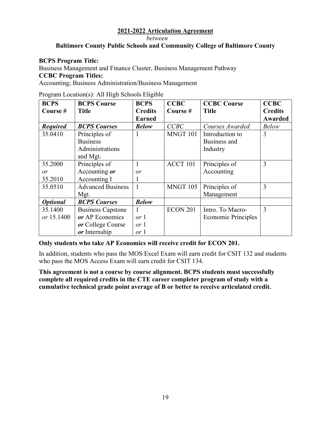*between* 

# **Baltimore County Public Schools and Community College of Baltimore County**

#### **BCPS Program Title:**

Business Management and Finance Cluster, Business Management Pathway

#### **CCBC Program Titles:**

Accounting; Business Administration/Business Management

| <b>BCPS</b>     | <b>BCPS Course</b>       | <b>BCPS</b>    | <b>CCBC</b>     | <b>CCBC Course</b>         | <b>CCBC</b>    |
|-----------------|--------------------------|----------------|-----------------|----------------------------|----------------|
| Course #        | <b>Title</b>             | <b>Credits</b> | Course #        | <b>Title</b>               | <b>Credits</b> |
|                 |                          | <b>Earned</b>  |                 |                            | Awarded        |
| <b>Required</b> | <b>BCPS Courses</b>      | <b>Below</b>   | CCBC            | Courses Awarded            | <b>Below</b>   |
| 35.0410         | Principles of            |                | MNGT 101        | Introduction to            | 3              |
|                 | <b>Business</b>          |                |                 | Business and               |                |
|                 | Administrations          |                |                 | Industry                   |                |
|                 | and Mgt.                 |                |                 |                            |                |
| 35.2000         | Principles of            | 1              | ACCT 101        | Principles of              | 3              |
| or              | Accounting or            | or             |                 | Accounting                 |                |
| 35.2010         | Accounting I             |                |                 |                            |                |
| 35.0510         | <b>Advanced Business</b> | 1              | <b>MNGT 105</b> | Principles of              | 3              |
|                 | Mgt.                     |                |                 | Management                 |                |
| <b>Optional</b> | <b>BCPS Courses</b>      | <b>Below</b>   |                 |                            |                |
| 35.1400         | <b>Business Capstone</b> | 1              | <b>ECON 201</b> | Intro. To Macro-           | 3              |
| or 15.1400      | or AP Economics          | or 1           |                 | <b>Economic Principles</b> |                |
|                 | or College Course        | or 1           |                 |                            |                |
|                 | or Internship            | or 1           |                 |                            |                |

Program Location(s): All High Schools Eligible

**Only students who take AP Economics will receive credit for ECON 201.** 

In addition, students who pass the MOS Excel Exam will earn credit for CSIT 132 and students who pass the MOS Access Exam will earn credit for CSIT 134.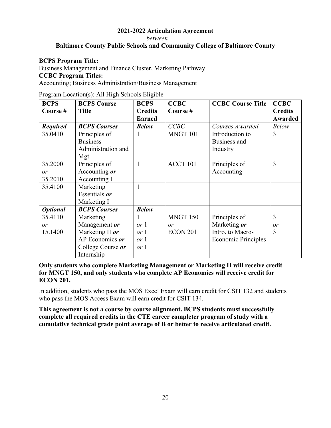*between* 

# **Baltimore County Public Schools and Community College of Baltimore County**

#### **BCPS Program Title:**

Business Management and Finance Cluster, Marketing Pathway

```
CCBC Program Titles:
```
Accounting; Business Administration/Business Management

Program Location(s): All High Schools Eligible

| <b>BCPS</b>     | <b>BCPS Course</b>  | <b>BCPS</b>    | <b>CCBC</b>     | <b>CCBC Course Title</b>   | <b>CCBC</b>    |
|-----------------|---------------------|----------------|-----------------|----------------------------|----------------|
| Course #        | <b>Title</b>        | <b>Credits</b> | Course#         |                            | <b>Credits</b> |
|                 |                     | <b>Earned</b>  |                 |                            | Awarded        |
| <b>Required</b> | <b>BCPS Courses</b> | <b>Below</b>   | CCBC            | Courses Awarded            | <b>Below</b>   |
| 35.0410         | Principles of       | 1              | MNGT 101        | Introduction to            | 3              |
|                 | <b>Business</b>     |                |                 | Business and               |                |
|                 | Administration and  |                |                 | Industry                   |                |
|                 | Mgt.                |                |                 |                            |                |
| 35.2000         | Principles of       | 1              | ACCT 101        | Principles of              | 3              |
| or              | Accounting or       |                |                 | Accounting                 |                |
| 35.2010         | Accounting I        |                |                 |                            |                |
| 35.4100         | Marketing           | 1              |                 |                            |                |
|                 | Essentials or       |                |                 |                            |                |
|                 | Marketing I         |                |                 |                            |                |
| <b>Optional</b> | <b>BCPS</b> Courses | <b>Below</b>   |                 |                            |                |
| 35.4110         | Marketing           | 1              | <b>MNGT 150</b> | Principles of              | 3              |
| or              | Management or       | or 1           | or              | Marketing or               | or             |
| 15.1400         | Marketing II or     | or 1           | <b>ECON 201</b> | Intro. to Macro-           | 3              |
|                 | AP Economics or     | or 1           |                 | <b>Economic Principles</b> |                |
|                 | College Course or   | or 1           |                 |                            |                |
|                 | Internship          |                |                 |                            |                |

**Only students who complete Marketing Management or Marketing II will receive credit for MNGT 150, and only students who complete AP Economics will receive credit for ECON 201.** 

In addition, students who pass the MOS Excel Exam will earn credit for CSIT 132 and students who pass the MOS Access Exam will earn credit for CSIT 134.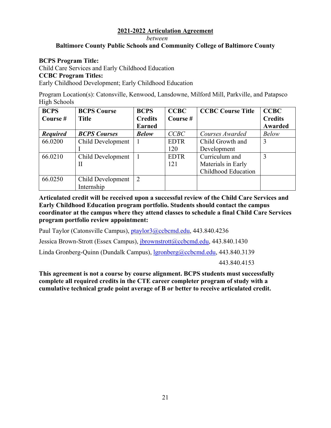*between* 

#### **Baltimore County Public Schools and Community College of Baltimore County**

#### **BCPS Program Title:**

Child Care Services and Early Childhood Education

#### **CCBC Program Titles:**

Early Childhood Development; Early Childhood Education

Program Location(s): Catonsville, Kenwood, Lansdowne, Milford Mill, Parkville, and Patapsco High Schools

| <b>BCPS</b>     | <b>BCPS Course</b>  | <b>BCPS</b>    | <b>CCBC</b> | <b>CCBC Course Title</b> | <b>CCBC</b>    |
|-----------------|---------------------|----------------|-------------|--------------------------|----------------|
| Course #        | <b>Title</b>        | <b>Credits</b> | Course #    |                          | <b>Credits</b> |
|                 |                     | <b>Earned</b>  |             |                          | Awarded        |
| <b>Required</b> | <b>BCPS Courses</b> | <b>Below</b>   | CCBC        | Courses Awarded          | <b>Below</b>   |
| 66.0200         | Child Development   |                | <b>EDTR</b> | Child Growth and         | 3              |
|                 |                     |                | 120         | Development              |                |
| 66.0210         | Child Development   |                | <b>EDTR</b> | Curriculum and           | 3              |
|                 | П                   |                | 121         | Materials in Early       |                |
|                 |                     |                |             | Childhood Education      |                |
| 66.0250         | Child Development   | $\overline{2}$ |             |                          |                |
|                 | Internship          |                |             |                          |                |

**Articulated credit will be received upon a successful review of the Child Care Services and Early Childhood Education program portfolio. Students should contact the campus coordinator at the campus where they attend classes to schedule a final Child Care Services program portfolio review appointment:** 

Paul Taylor (Catonsville Campus), [ptaylor3@ccbcmd.edu](mailto:ptaylor3@ccbcmd.edu), 443.840.4236

Jessica Brown-Strott (Essex Campus), [jbrownstrott@ccbcmd.edu](mailto:jbrownstrott@ccbcmd.edu), 443.840.1430

Linda Gronberg-Quinn (Dundalk Campus), [lgronberg@ccbcmd.edu](mailto:lgronberg@ccbcmd.edu), 443.840.3139

443.840.4153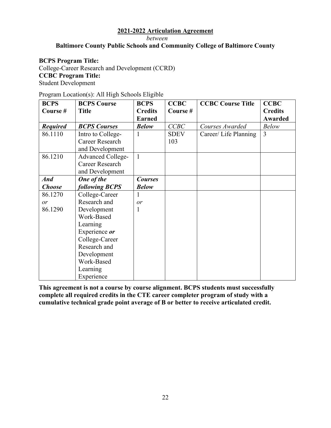*between* 

# **Baltimore County Public Schools and Community College of Baltimore County**

#### **BCPS Program Title:**

College-Career Research and Development (CCRD) **CCBC Program Title:**  Student Development

| Program Location(s): All High Schools Eligible |  |  |  |
|------------------------------------------------|--|--|--|
|------------------------------------------------|--|--|--|

| <b>BCPS</b>     | <b>BCPS Course</b>       | <b>BCPS</b>    | <b>CCBC</b> | <b>CCBC Course Title</b> | <b>CCBC</b>    |
|-----------------|--------------------------|----------------|-------------|--------------------------|----------------|
| Course #        | <b>Title</b>             | <b>Credits</b> | Course #    |                          | <b>Credits</b> |
|                 |                          | <b>Earned</b>  |             |                          | <b>Awarded</b> |
| <b>Required</b> | <b>BCPS Courses</b>      | <b>Below</b>   | CCBC        | Courses Awarded          | <b>Below</b>   |
| 86.1110         | Intro to College-        | 1              | <b>SDEV</b> | Career/ Life Planning    | $\overline{3}$ |
|                 | Career Research          |                | 103         |                          |                |
|                 | and Development          |                |             |                          |                |
| 86.1210         | <b>Advanced College-</b> | $\mathbf{1}$   |             |                          |                |
|                 | Career Research          |                |             |                          |                |
|                 | and Development          |                |             |                          |                |
| <b>And</b>      | One of the               | <b>Courses</b> |             |                          |                |
| <b>Choose</b>   | <b>following BCPS</b>    | <b>Below</b>   |             |                          |                |
| 86.1270         | College-Career           | 1              |             |                          |                |
| or              | Research and             | or             |             |                          |                |
| 86.1290         | Development              | 1              |             |                          |                |
|                 | Work-Based               |                |             |                          |                |
|                 | Learning                 |                |             |                          |                |
|                 | Experience or            |                |             |                          |                |
|                 | College-Career           |                |             |                          |                |
|                 | Research and             |                |             |                          |                |
|                 | Development              |                |             |                          |                |
|                 | Work-Based               |                |             |                          |                |
|                 | Learning                 |                |             |                          |                |
|                 | Experience               |                |             |                          |                |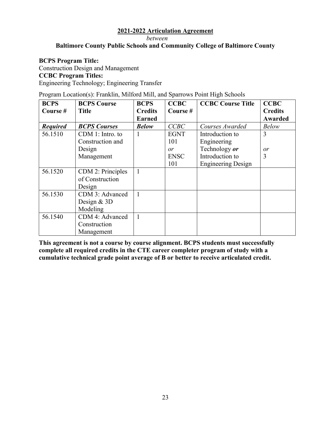*between* 

# **Baltimore County Public Schools and Community College of Baltimore County**

#### **BCPS Program Title:**

Construction Design and Management **CCBC Program Titles:**  Engineering Technology; Engineering Transfer

Program Location(s): Franklin, Milford Mill, and Sparrows Point High Schools

| <b>BCPS</b>     | <b>BCPS Course</b>  | <b>BCPS</b>    | <b>CCBC</b> | <b>CCBC Course Title</b>  | <b>CCBC</b>    |
|-----------------|---------------------|----------------|-------------|---------------------------|----------------|
| Course #        | <b>Title</b>        | <b>Credits</b> | Course#     |                           | <b>Credits</b> |
|                 |                     | <b>Earned</b>  |             |                           | <b>Awarded</b> |
| <b>Required</b> | <b>BCPS Courses</b> | <b>Below</b>   | CCBC        | Courses Awarded           | <b>Below</b>   |
| 56.1510         | CDM 1: Intro. to    |                | <b>EGNT</b> | Introduction to           | 3              |
|                 | Construction and    |                | 101         | Engineering               |                |
|                 | Design              |                | or          | Technology or             | or             |
|                 | Management          |                | <b>ENSC</b> | Introduction to           | 3              |
|                 |                     |                | 101         | <b>Engineering Design</b> |                |
| 56.1520         | CDM 2: Principles   | 1              |             |                           |                |
|                 | of Construction     |                |             |                           |                |
|                 | Design              |                |             |                           |                |
| 56.1530         | CDM 3: Advanced     | 1              |             |                           |                |
|                 | Design $&$ 3D       |                |             |                           |                |
|                 | Modeling            |                |             |                           |                |
| 56.1540         | CDM 4: Advanced     |                |             |                           |                |
|                 | Construction        |                |             |                           |                |
|                 | Management          |                |             |                           |                |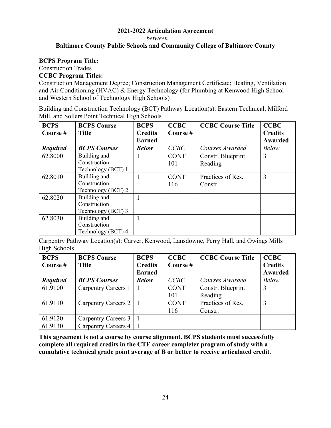*between* 

#### **Baltimore County Public Schools and Community College of Baltimore County**

#### **BCPS Program Title:**

Construction Trades

# **CCBC Program Titles:**

Construction Management Degree; Construction Management Certificate; Heating, Ventilation and Air Conditioning (HVAC) & Energy Technology (for Plumbing at Kenwood High School and Western School of Technology High Schools)

Building and Construction Technology (BCT) Pathway Location(s): Eastern Technical, Milford Mill, and Sollers Point Technical High Schools

| <b>BCPS</b><br>Course # | <b>BCPS Course</b><br><b>Title</b> | <b>BCPS</b><br><b>Credits</b> | <b>CCBC</b><br>Course# | <b>CCBC Course Title</b> | <b>CCBC</b><br><b>Credits</b> |
|-------------------------|------------------------------------|-------------------------------|------------------------|--------------------------|-------------------------------|
|                         |                                    | <b>Earned</b>                 |                        |                          | Awarded                       |
| <b>Required</b>         | <b>BCPS Courses</b>                | <b>Below</b>                  | CCBC                   | Courses Awarded          | <b>Below</b>                  |
| 62.8000                 | Building and                       |                               | <b>CONT</b>            | Constr. Blueprint        | 3                             |
|                         | Construction                       |                               | 101                    | Reading                  |                               |
|                         | Technology (BCT) 1                 |                               |                        |                          |                               |
| 62.8010                 | Building and                       |                               | <b>CONT</b>            | Practices of Res.        | 3                             |
|                         | Construction                       |                               | 116                    | Constr.                  |                               |
|                         | Technology (BCT) 2                 |                               |                        |                          |                               |
| 62.8020                 | Building and                       |                               |                        |                          |                               |
|                         | Construction                       |                               |                        |                          |                               |
|                         | Technology (BCT) 3                 |                               |                        |                          |                               |
| 62.8030                 | Building and                       |                               |                        |                          |                               |
|                         | Construction                       |                               |                        |                          |                               |
|                         | Technology (BCT) 4                 |                               |                        |                          |                               |

Carpentry Pathway Location(s): Carver, Kenwood, Lansdowne, Perry Hall, and Owings Mills High Schools

| <b>BCPS</b>     | <b>BCPS Course</b>  | <b>BCPS</b>    | <b>CCBC</b> | <b>CCBC Course Title</b> | <b>CCBC</b>    |
|-----------------|---------------------|----------------|-------------|--------------------------|----------------|
| Course #        | <b>Title</b>        | <b>Credits</b> | Course#     |                          | <b>Credits</b> |
|                 |                     | <b>Earned</b>  |             |                          | <b>Awarded</b> |
| <b>Required</b> | <b>BCPS Courses</b> | <b>Below</b>   | CCBC        | Courses Awarded          | <b>Below</b>   |
| 61.9100         | Carpentry Careers 1 |                | <b>CONT</b> | Constr. Blueprint        | 3              |
|                 |                     |                | 101         | Reading                  |                |
| 61.9110         | Carpentry Careers 2 |                | <b>CONT</b> | Practices of Res.        | 3              |
|                 |                     |                | 116         | Constr.                  |                |
| 61.9120         | Carpentry Careers 3 |                |             |                          |                |
| 61.9130         | Carpentry Careers 4 |                |             |                          |                |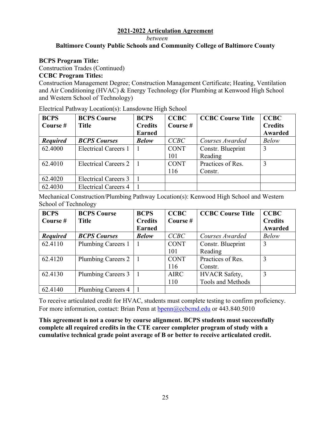*between* 

# **Baltimore County Public Schools and Community College of Baltimore County**

# **BCPS Program Title:**

Construction Trades (Continued)

#### **CCBC Program Titles:**

Construction Management Degree; Construction Management Certificate; Heating, Ventilation and Air Conditioning (HVAC) & Energy Technology **(**for Plumbing at Kenwood High School and Western School of Technology)

| <b>BCPS</b><br>Course # | <b>BCPS Course</b><br><b>Title</b> | <b>BCPS</b><br><b>Credits</b><br><b>Earned</b> | <b>CCBC</b><br>Course # | <b>CCBC Course Title</b> | <b>CCBC</b><br><b>Credits</b><br>Awarded |
|-------------------------|------------------------------------|------------------------------------------------|-------------------------|--------------------------|------------------------------------------|
| <b>Required</b>         | <b>BCPS Courses</b>                | <b>Below</b>                                   | CCBC                    | Courses Awarded          | <b>Below</b>                             |
| 62.4000                 | <b>Electrical Careers 1</b>        |                                                | <b>CONT</b>             | Constr. Blueprint        | 3                                        |
|                         |                                    |                                                | 101                     | Reading                  |                                          |
| 62.4010                 | <b>Electrical Careers 2</b>        |                                                | <b>CONT</b>             | Practices of Res.        | 3                                        |
|                         |                                    |                                                | 116                     | Constr.                  |                                          |
| 62.4020                 | <b>Electrical Careers 3</b>        |                                                |                         |                          |                                          |
| 62.4030                 | <b>Electrical Careers 4</b>        |                                                |                         |                          |                                          |

Electrical Pathway Location(s): Lansdowne High School

Mechanical Construction/Plumbing Pathway Location(s): Kenwood High School and Western School of Technology

| <b>BCPS</b>     | <b>BCPS Course</b>  | <b>BCPS</b>    | <b>CCBC</b> | <b>CCBC Course Title</b> | <b>CCBC</b>    |
|-----------------|---------------------|----------------|-------------|--------------------------|----------------|
| Course #        | <b>Title</b>        | <b>Credits</b> | Course $#$  |                          | <b>Credits</b> |
|                 |                     | <b>Earned</b>  |             |                          | Awarded        |
| <b>Required</b> | <b>BCPS Courses</b> | <b>Below</b>   | CCBC        | Courses Awarded          | <b>Below</b>   |
| 62.4110         | Plumbing Careers 1  |                | <b>CONT</b> | Constr. Blueprint        | 3              |
|                 |                     |                | 101         | Reading                  |                |
| 62.4120         | Plumbing Careers 2  |                | <b>CONT</b> | Practices of Res.        | 3              |
|                 |                     |                | 116         | Constr.                  |                |
| 62.4130         | Plumbing Careers 3  |                | <b>AIRC</b> | HVACR Safety,            | 3              |
|                 |                     |                | 110         | Tools and Methods        |                |
| 62.4140         | Plumbing Careers 4  |                |             |                          |                |

To receive articulated credit for HVAC, students must complete testing to confirm proficiency. For more information, contact: Brian Penn at [bpenn@ccbcmd.edu](mailto:bpenn@ccbcmd.edu) or 443.840.5010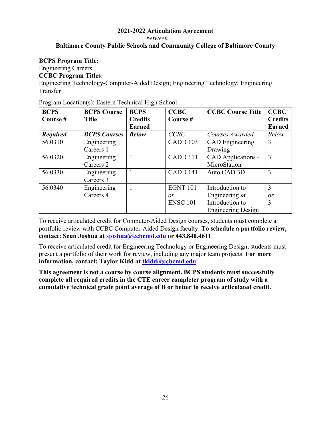*between* 

# **Baltimore County Public Schools and Community College of Baltimore County**

#### **BCPS Program Title:**

Engineering Careers

# **CCBC Program Titles:**

Engineering Technology-Computer-Aided Design; Engineering Technology; Engineering Transfer

| <b>BCPS</b>     | <b>BCPS Course</b>  | <b>BCPS</b>    | <b>CCBC</b>     | <b>CCBC Course Title</b>  | <b>CCBC</b>    |
|-----------------|---------------------|----------------|-----------------|---------------------------|----------------|
| Course #        | <b>Title</b>        | <b>Credits</b> | Course#         |                           | <b>Credits</b> |
|                 |                     | <b>Earned</b>  |                 |                           | <b>Earned</b>  |
| <b>Required</b> | <b>BCPS Courses</b> | <b>Below</b>   | CCBC            | Courses Awarded           | <b>Below</b>   |
| 56.0310         | Engineering         | 1              | CADD 103        | <b>CAD</b> Engineering    | 3              |
|                 | Careers 1           |                |                 | Drawing                   |                |
| 56.0320         | Engineering         | 1              | CADD 111        | CAD Applications -        | 3              |
|                 | Careers 2           |                |                 | MicroStation              |                |
| 56.0330         | Engineering         | 1              | CADD 141        | Auto CAD 3D               | 3              |
|                 | Careers 3           |                |                 |                           |                |
| 56.0340         | Engineering         |                | <b>EGNT 101</b> | Introduction to           | 3              |
|                 | Careers 4           |                | or              | Engineering or            | or             |
|                 |                     |                | <b>ENSC 101</b> | Introduction to           | 3              |
|                 |                     |                |                 | <b>Engineering Design</b> |                |

Program Location(s): Eastern Technical High School

To receive articulated credit for Computer-Aided Design courses, students must complete a portfolio review with CCBC Computer-Aided Design faculty. **To schedule a portfolio review, contact: Seun Joshua at [sjoshua@ccbcmd.edu](mailto:sjoshua@ccbcmd.edu) or 443.840.4611** 

To receive articulated credit for Engineering Technology or Engineering Design, students must present a portfolio of their work for review, including any major team projects. **For more information, contact: Taylor Kidd at [tkidd@ccbcmd.edu](mailto:tkidd@ccbcmd.edu)**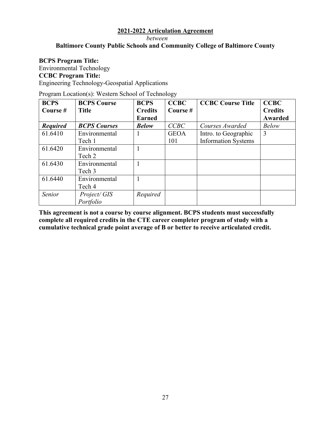*between* 

# **Baltimore County Public Schools and Community College of Baltimore County**

#### **BCPS Program Title:**

Environmental Technology **CCBC Program Title:**  Engineering Technology-Geospatial Applications

Program Location(s): Western School of Technology

| <b>BCPS</b>     | <b>BCPS Course</b>  | <b>BCPS</b>    | <b>CCBC</b> | <b>CCBC Course Title</b>   | <b>CCBC</b>    |
|-----------------|---------------------|----------------|-------------|----------------------------|----------------|
| Course #        | <b>Title</b>        | <b>Credits</b> | Course#     |                            | <b>Credits</b> |
|                 |                     | <b>Earned</b>  |             |                            | Awarded        |
| <b>Required</b> | <b>BCPS Courses</b> | <b>Below</b>   | CCBC        | Courses Awarded            | <b>Below</b>   |
| 61.6410         | Environmental       |                | <b>GEOA</b> | Intro. to Geographic       | 3              |
|                 | Tech 1              |                | 101         | <b>Information Systems</b> |                |
| 61.6420         | Environmental       |                |             |                            |                |
|                 | Tech 2              |                |             |                            |                |
| 61.6430         | Environmental       |                |             |                            |                |
|                 | Tech 3              |                |             |                            |                |
| 61.6440         | Environmental       |                |             |                            |                |
|                 | Tech 4              |                |             |                            |                |
| Senior          | Project/GIS         | Required       |             |                            |                |
|                 | Portfolio           |                |             |                            |                |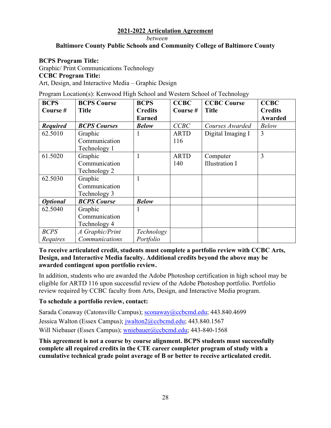#### *between*

# **Baltimore County Public Schools and Community College of Baltimore County**

# **BCPS Program Title:**

Graphic/ Print Communications Technology

# **CCBC Program Title:**

Art, Design, and Interactive Media – Graphic Design

Program Location(s): Kenwood High School and Western School of Technology

| <b>BCPS</b>     | <b>BCPS Course</b>  | <b>BCPS</b>    | <b>CCBC</b> | <b>CCBC Course</b>    | <b>CCBC</b>    |
|-----------------|---------------------|----------------|-------------|-----------------------|----------------|
| Course #        | <b>Title</b>        | <b>Credits</b> | Course #    | <b>Title</b>          | <b>Credits</b> |
|                 |                     | <b>Earned</b>  |             |                       | <b>Awarded</b> |
| <b>Required</b> | <b>BCPS</b> Courses | <b>Below</b>   | CCBC        | Courses Awarded       | <b>Below</b>   |
| 62.5010         | Graphic             |                | <b>ARTD</b> | Digital Imaging I     | 3              |
|                 | Communication       |                | 116         |                       |                |
|                 | Technology 1        |                |             |                       |                |
| 61.5020         | Graphic             |                | <b>ARTD</b> | Computer              | 3              |
|                 | Communication       |                | 140         | <b>Illustration I</b> |                |
|                 | Technology 2        |                |             |                       |                |
| 62.5030         | Graphic             |                |             |                       |                |
|                 | Communication       |                |             |                       |                |
|                 | Technology 3        |                |             |                       |                |
| <b>Optional</b> | <b>BCPS</b> Course  | <b>Below</b>   |             |                       |                |
| 62.5040         | Graphic             |                |             |                       |                |
|                 | Communication       |                |             |                       |                |
|                 | Technology 4        |                |             |                       |                |
| <b>BCPS</b>     | A Graphic/Print     | Technology     |             |                       |                |
| Requires        | Communications      | Portfolio      |             |                       |                |

# **To receive articulated credit, students must complete a portfolio review with CCBC Arts, Design, and Interactive Media faculty. Additional credits beyond the above may be awarded contingent upon portfolio review.**

In addition, students who are awarded the Adobe Photoshop certification in high school may be eligible for ARTD 116 upon successful review of the Adobe Photoshop portfolio. Portfolio review required by CCBC faculty from Arts, Design, and Interactive Media program.

# **To schedule a portfolio review, contact:**

Sarada Conaway (Catonsville Campus); [sconaway@ccbcmd.edu](mailto:sconaway@ccbcmd.edu); 443.840.4699

Jessica Walton (Essex Campus); [jwalton2@ccbcmd.edu](mailto:jwalton2@ccbcmd.edu); 443.840.1567

Will Niebauer (Essex Campus); [wniebauer@ccbcmd.edu;](mailto:wniebauer@ccbcmd.edu) 443-840-1568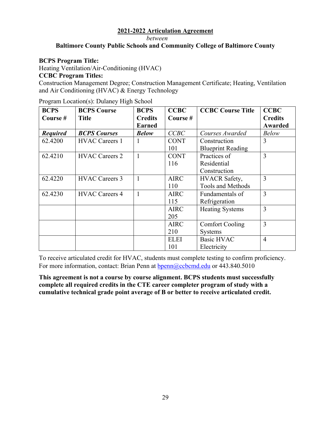*between* 

# **Baltimore County Public Schools and Community College of Baltimore County**

#### **BCPS Program Title:**

Heating Ventilation/Air-Conditioning (HVAC)

#### **CCBC Program Titles:**

Construction Management Degree; Construction Management Certificate; Heating, Ventilation and Air Conditioning (HVAC) & Energy Technology

| <b>BCPS</b>     | <b>BCPS Course</b>    | <b>BCPS</b>    | <b>CCBC</b> | <b>CCBC Course Title</b> | <b>CCBC</b>    |
|-----------------|-----------------------|----------------|-------------|--------------------------|----------------|
| Course #        | <b>Title</b>          | <b>Credits</b> | Course $#$  |                          | <b>Credits</b> |
|                 |                       | <b>Earned</b>  |             |                          | Awarded        |
| <b>Required</b> | <b>BCPS Courses</b>   | <b>Below</b>   | CCBC        | Courses Awarded          | <b>Below</b>   |
| 62.4200         | <b>HVAC Careers 1</b> | 1              | <b>CONT</b> | Construction             | $\overline{3}$ |
|                 |                       |                | 101         | <b>Blueprint Reading</b> |                |
| 62.4210         | <b>HVAC Careers 2</b> | 1              | <b>CONT</b> | Practices of             | $\overline{3}$ |
|                 |                       |                | 116         | Residential              |                |
|                 |                       |                |             | Construction             |                |
| 62.4220         | <b>HVAC Careers 3</b> |                | <b>AIRC</b> | <b>HVACR</b> Safety,     | $\overline{3}$ |
|                 |                       |                | 110         | <b>Tools and Methods</b> |                |
| 62.4230         | <b>HVAC Careers 4</b> | 1              | <b>AIRC</b> | Fundamentals of          | $\overline{3}$ |
|                 |                       |                | 115         | Refrigeration            |                |
|                 |                       |                | <b>AIRC</b> | <b>Heating Systems</b>   | $\overline{3}$ |
|                 |                       |                | 205         |                          |                |
|                 |                       |                | <b>AIRC</b> | <b>Comfort Cooling</b>   | 3              |
|                 |                       |                | 210         | <b>Systems</b>           |                |
|                 |                       |                | <b>ELEI</b> | <b>Basic HVAC</b>        | $\overline{4}$ |
|                 |                       |                | 101         | Electricity              |                |

Program Location(s): Dulaney High School

To receive articulated credit for HVAC, students must complete testing to confirm proficiency. For more information, contact: Brian Penn at [bpenn@ccbcmd.edu](mailto:bpenn@ccbcmd.edu) or 443.840.5010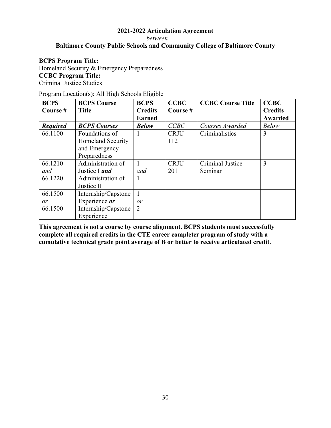*between* 

# **Baltimore County Public Schools and Community College of Baltimore County**

#### **BCPS Program Title:**

Homeland Security & Emergency Preparedness **CCBC Program Title:**  Criminal Justice Studies

| Program Location(s): All High Schools Eligible |  |  |
|------------------------------------------------|--|--|
|                                                |  |  |

| <b>BCPS</b>     | <b>BCPS Course</b>       | <b>BCPS</b>    | <b>CCBC</b> | <b>CCBC Course Title</b> | <b>CCBC</b>    |
|-----------------|--------------------------|----------------|-------------|--------------------------|----------------|
| Course #        | <b>Title</b>             | <b>Credits</b> | Course#     |                          | <b>Credits</b> |
|                 |                          | <b>Earned</b>  |             |                          | Awarded        |
| <b>Required</b> | <b>BCPS</b> Courses      | <b>Below</b>   | CCBC        | Courses Awarded          | <b>Below</b>   |
| 66.1100         | Foundations of           |                | <b>CRJU</b> | Criminalistics           | 3              |
|                 | <b>Homeland Security</b> |                | 112         |                          |                |
|                 | and Emergency            |                |             |                          |                |
|                 | Preparedness             |                |             |                          |                |
| 66.1210         | Administration of        |                | <b>CRJU</b> | Criminal Justice         | 3              |
| and             | Justice I and            | and            | 201         | Seminar                  |                |
| 66.1220         | Administration of        |                |             |                          |                |
|                 | Justice II               |                |             |                          |                |
| 66.1500         | Internship/Capstone      |                |             |                          |                |
| or              | Experience or            | or             |             |                          |                |
| 66.1500         | Internship/Capstone      | $\overline{2}$ |             |                          |                |
|                 | Experience               |                |             |                          |                |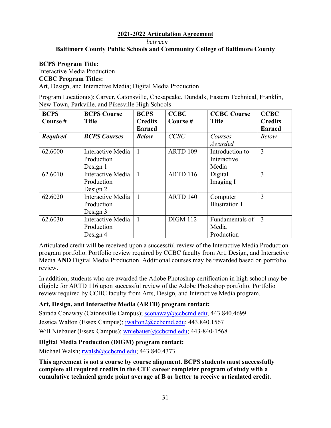*between* 

#### **Baltimore County Public Schools and Community College of Baltimore County**

#### **BCPS Program Title:**

Interactive Media Production **CCBC Program Titles:**  Art, Design, and Interactive Media; Digital Media Production

Program Location(s): Carver, Catonsville, Chesapeake, Dundalk, Eastern Technical, Franklin, New Town, Parkville, and Pikesville High Schools

| <b>BCPS</b>     | <b>BCPS Course</b>       | <b>BCPS</b>    | <b>CCBC</b>     | <b>CCBC Course</b>    | <b>CCBC</b>    |
|-----------------|--------------------------|----------------|-----------------|-----------------------|----------------|
| Course #        | <b>Title</b>             | <b>Credits</b> | Course#         | <b>Title</b>          | <b>Credits</b> |
|                 |                          | <b>Earned</b>  |                 |                       | <b>Earned</b>  |
| <b>Required</b> | <b>BCPS</b> Courses      | <b>Below</b>   | CCBC            | Courses               | <b>Below</b>   |
|                 |                          |                |                 | Awarded               |                |
| 62.6000         | Interactive Media        | 1              | ARTD 109        | Introduction to       | 3              |
|                 | Production               |                |                 | Interactive           |                |
|                 | Design 1                 |                |                 | Media                 |                |
| 62.6010         | Interactive Media        | 1              | <b>ARTD 116</b> | Digital               | 3              |
|                 | Production               |                |                 | Imaging I             |                |
|                 | Design 2                 |                |                 |                       |                |
| 62.6020         | <b>Interactive Media</b> | 1              | ARTD 140        | Computer              | 3              |
|                 | Production               |                |                 | <b>Illustration I</b> |                |
|                 | Design 3                 |                |                 |                       |                |
| 62.6030         | Interactive Media        | 1              | <b>DIGM 112</b> | Fundamentals of       | 3              |
|                 | Production               |                |                 | Media                 |                |
|                 | Design 4                 |                |                 | Production            |                |

Articulated credit will be received upon a successful review of the Interactive Media Production program portfolio. Portfolio review required by CCBC faculty from Art, Design, and Interactive Media **AND** Digital Media Production. Additional courses may be rewarded based on portfolio review.

In addition, students who are awarded the Adobe Photoshop certification in high school may be eligible for ARTD 116 upon successful review of the Adobe Photoshop portfolio. Portfolio review required by CCBC faculty from Arts, Design, and Interactive Media program.

# **Art, Design, and Interactive Media (ARTD) program contact:**

Sarada Conaway (Catonsville Campus); [sconaway@ccbcmd.edu](mailto:sconaway@ccbcmd.edu); 443.840.4699 Jessica Walton (Essex Campus); [jwalton2@ccbcmd.edu](mailto:jwalton2@ccbcmd.edu); 443.840.1567 Will Niebauer (Essex Campus); [wniebauer@ccbcmd.edu;](mailto:wniebauer@ccbcmd.edu) 443-840-1568

# **Digital Media Production (DIGM) program contact:**

Michael Walsh; [rwalsh@ccbcmd.edu](mailto:rwalsh@ccbcmd.edu); 443.840.4373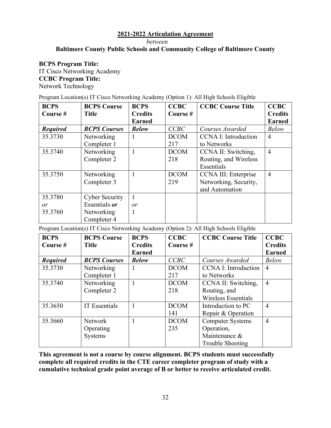*between* 

# **Baltimore County Public Schools and Community College of Baltimore County**

 **BCPS Program Title:** IT Cisco Networking Academy **CCBC Program Title:**  Network Technology

Program Location(s) IT Cisco Networking Academy (Option 1): All High Schools Eligible

| <b>BCPS</b>     | <b>BCPS Course</b>    | <b>BCPS</b>    | <b>CCBC</b> | <b>CCBC Course Title</b>    | <b>CCBC</b>    |
|-----------------|-----------------------|----------------|-------------|-----------------------------|----------------|
| Course #        | <b>Title</b>          | <b>Credits</b> | Course #    |                             | <b>Credits</b> |
|                 |                       | <b>Earned</b>  |             |                             | <b>Earned</b>  |
| <b>Required</b> | <b>BCPS Courses</b>   | <b>Below</b>   | CCBC        | Courses Awarded             | <b>Below</b>   |
| 35.3730         | Networking            |                | <b>DCOM</b> | <b>CCNA I: Introduction</b> | $\overline{4}$ |
|                 | Completer 1           |                | 217         | to Networks                 |                |
| 35.3740         | Networking            | 1              | <b>DCOM</b> | CCNA II: Switching,         | $\overline{4}$ |
|                 | Completer 2           |                | 218         | Routing, and Wireless       |                |
|                 |                       |                |             | Essentials                  |                |
| 35.3750         | Networking            |                | <b>DCOM</b> | CCNA III: Enterprise        | $\overline{4}$ |
|                 | Completer 3           |                | 219         | Networking, Security,       |                |
|                 |                       |                |             | and Automation              |                |
| 35.3780         | <b>Cyber Security</b> |                |             |                             |                |
| or              | Essentials <i>or</i>  | or             |             |                             |                |
| 35.3760         | Networking            |                |             |                             |                |
|                 | Completer 4           |                |             |                             |                |

Program Location(s) IT Cisco Networking Academy (Option 2): All High Schools Eligible

| <b>BCPS</b>     | <b>BCPS Course</b>   | <b>BCPS</b>    | <b>CCBC</b> | <b>CCBC Course Title</b>    | <b>CCBC</b>    |
|-----------------|----------------------|----------------|-------------|-----------------------------|----------------|
| Course #        | <b>Title</b>         | <b>Credits</b> | Course $#$  |                             | <b>Credits</b> |
|                 |                      | <b>Earned</b>  |             |                             | <b>Earned</b>  |
| <b>Required</b> | <b>BCPS Courses</b>  | <b>Below</b>   | CCBC        | Courses Awarded             | <b>Below</b>   |
| 35.3730         | Networking           |                | <b>DCOM</b> | <b>CCNA I: Introduction</b> | $\overline{4}$ |
|                 | Completer 1          |                | 217         | to Networks                 |                |
| 35.3740         | Networking           |                | <b>DCOM</b> | CCNA II: Switching,         | $\overline{4}$ |
|                 | Completer 2          |                | 218         | Routing, and                |                |
|                 |                      |                |             | Wireless Essentials         |                |
| 35.3650         | <b>IT Essentials</b> |                | <b>DCOM</b> | Introduction to PC          | $\overline{4}$ |
|                 |                      |                | 141         | Repair & Operation          |                |
| 35.3660         | <b>Network</b>       |                | <b>DCOM</b> | <b>Computer Systems</b>     | $\overline{4}$ |
|                 | Operating            |                | 235         | Operation,                  |                |
|                 | <b>Systems</b>       |                |             | Maintenance &               |                |
|                 |                      |                |             | Trouble Shooting            |                |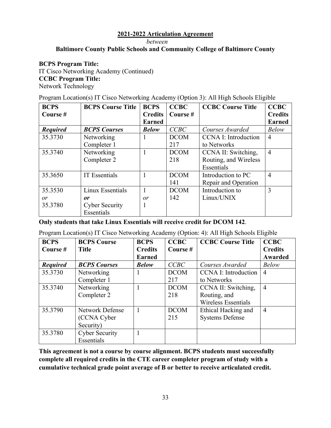*between* 

# **Baltimore County Public Schools and Community College of Baltimore County**

# **BCPS Program Title:**

IT Cisco Networking Academy (Continued) **CCBC Program Title:**  Network Technology

Program Location(s) IT Cisco Networking Academy (Option 3): All High Schools Eligible

| <b>BCPS</b>     | <b>BCPS Course Title</b> | <b>BCPS</b>    | <b>CCBC</b> | <b>CCBC Course Title</b>    | <b>CCBC</b>    |
|-----------------|--------------------------|----------------|-------------|-----------------------------|----------------|
| Course #        |                          | <b>Credits</b> | Course $#$  |                             | <b>Credits</b> |
|                 |                          | <b>Earned</b>  |             |                             | <b>Earned</b>  |
| <b>Required</b> | <b>BCPS Courses</b>      | <b>Below</b>   | CCBC        | Courses Awarded             | <b>Below</b>   |
| 35.3730         | Networking               |                | <b>DCOM</b> | <b>CCNA I: Introduction</b> | $\overline{4}$ |
|                 | Completer 1              |                | 217         | to Networks                 |                |
| 35.3740         | Networking               | 1              | <b>DCOM</b> | CCNA II: Switching,         | $\overline{4}$ |
|                 | Completer 2              |                | 218         | Routing, and Wireless       |                |
|                 |                          |                |             | Essentials                  |                |
| 35.3650         | <b>IT Essentials</b>     |                | <b>DCOM</b> | Introduction to PC          | $\overline{4}$ |
|                 |                          |                | 141         | Repair and Operation        |                |
| 35.3530         | Linux Essentials         |                | <b>DCOM</b> | Introduction to             | 3              |
| or              | or                       | or             | 142         | Linux/UNIX                  |                |
| 35.3780         | <b>Cyber Security</b>    | 1              |             |                             |                |
|                 | Essentials               |                |             |                             |                |

**Only students that take Linux Essentials will receive credit for DCOM 142**.

Program Location(s) IT Cisco Networking Academy (Option: 4): All High Schools Eligible

| <b>BCPS</b>     | <b>BCPS Course</b>     | <b>BCPS</b>    | <b>CCBC</b> | <b>CCBC Course Title</b>    | <b>CCBC</b>    |
|-----------------|------------------------|----------------|-------------|-----------------------------|----------------|
| Course #        | <b>Title</b>           | <b>Credits</b> | Course#     |                             | <b>Credits</b> |
|                 |                        | <b>Earned</b>  |             |                             | Awarded        |
| <b>Required</b> | <b>BCPS Courses</b>    | <b>Below</b>   | CCBC        | Courses Awarded             | <b>Below</b>   |
| 35.3730         | Networking             |                | <b>DCOM</b> | <b>CCNA I: Introduction</b> | $\overline{4}$ |
|                 | Completer 1            |                | 217         | to Networks                 |                |
| 35.3740         | Networking             |                | <b>DCOM</b> | CCNA II: Switching,         | $\overline{4}$ |
|                 | Completer 2            |                | 218         | Routing, and                |                |
|                 |                        |                |             | <b>Wireless Essentials</b>  |                |
| 35.3790         | <b>Network Defense</b> |                | <b>DCOM</b> | Ethical Hacking and         | $\overline{4}$ |
|                 | (CCNA Cyber            |                | 215         | <b>Systems Defense</b>      |                |
|                 | Security)              |                |             |                             |                |
| 35.3780         | <b>Cyber Security</b>  |                |             |                             |                |
|                 | Essentials             |                |             |                             |                |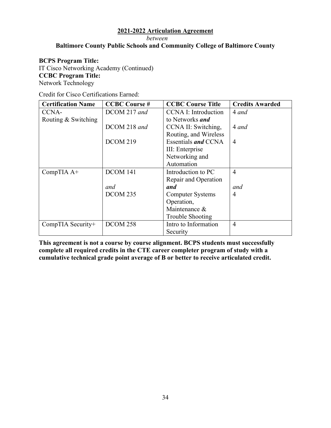*between* 

# **Baltimore County Public Schools and Community College of Baltimore County**

#### **BCPS Program Title:**

IT Cisco Networking Academy (Continued) **CCBC Program Title:**  Network Technology

Credit for Cisco Certifications Earned:

| <b>Certification Name</b> | <b>CCBC Course#</b> | <b>CCBC Course Title</b>    | <b>Credits Awarded</b> |
|---------------------------|---------------------|-----------------------------|------------------------|
| CCNA-                     | DCOM 217 and        | <b>CCNA I: Introduction</b> | 4 and                  |
| Routing & Switching       |                     | to Networks <i>and</i>      |                        |
|                           | DCOM 218 and        | CCNA II: Switching,         | 4 and                  |
|                           |                     | Routing, and Wireless       |                        |
|                           | <b>DCOM 219</b>     | Essentials <i>and</i> CCNA  | $\overline{4}$         |
|                           |                     | III: Enterprise             |                        |
|                           |                     | Networking and              |                        |
|                           |                     | Automation                  |                        |
| CompTIA A+                | DCOM 141            | Introduction to PC          | $\overline{4}$         |
|                           |                     | Repair and Operation        |                        |
|                           | and                 | and                         | and                    |
|                           | DCOM 235            | <b>Computer Systems</b>     | 4                      |
|                           |                     | Operation,                  |                        |
|                           |                     | Maintenance &               |                        |
|                           |                     | Trouble Shooting            |                        |
| CompTIA Security+         | <b>DCOM 258</b>     | Intro to Information        | $\overline{4}$         |
|                           |                     | Security                    |                        |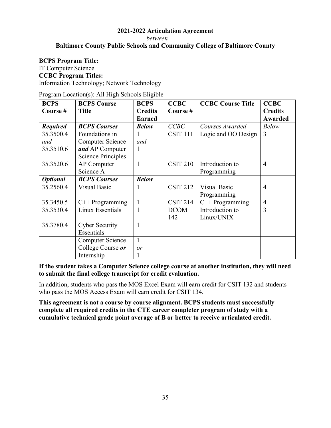*between* 

# **Baltimore County Public Schools and Community College of Baltimore County**

#### **BCPS Program Title:**

IT Computer Science

#### **CCBC Program Titles:**

Information Technology; Network Technology

Program Location(s): All High Schools Eligible

| <b>BCPS</b>     | <b>BCPS Course</b>        | <b>BCPS</b>    | <b>CCBC</b>     | <b>CCBC Course Title</b> | <b>CCBC</b>    |
|-----------------|---------------------------|----------------|-----------------|--------------------------|----------------|
| Course #        | <b>Title</b>              | <b>Credits</b> | Course#         |                          | <b>Credits</b> |
|                 |                           | <b>Earned</b>  |                 |                          | <b>Awarded</b> |
| <b>Required</b> | <b>BCPS Courses</b>       | <b>Below</b>   | CCBC            | Courses Awarded          | <b>Below</b>   |
| 35.3500.4       | Foundations in            |                | <b>CSIT 111</b> | Logic and OO Design      | $\overline{3}$ |
| and             | <b>Computer Science</b>   | and            |                 |                          |                |
| 35.3510.6       | and AP Computer           | 1              |                 |                          |                |
|                 | <b>Science Principles</b> |                |                 |                          |                |
| 35.3520.6       | <b>AP</b> Computer        | 1              | <b>CSIT 210</b> | Introduction to          | $\overline{4}$ |
|                 | Science A                 |                |                 | Programming              |                |
| <b>Optional</b> | <b>BCPS Courses</b>       | <b>Below</b>   |                 |                          |                |
| 35.2560.4       | <b>Visual Basic</b>       |                | <b>CSIT 212</b> | <b>Visual Basic</b>      | $\overline{4}$ |
|                 |                           |                |                 | Programming              |                |
| 35.3450.5       | $C++$ Programming         | $\mathbf{1}$   | <b>CSIT 214</b> | $C++$ Programming        | $\overline{4}$ |
| 35.3530.4       | Linux Essentials          |                | <b>DCOM</b>     | Introduction to          | 3              |
|                 |                           |                | 142             | Linux/UNIX               |                |
| 35.3780.4       | <b>Cyber Security</b>     | 1              |                 |                          |                |
|                 | Essentials                |                |                 |                          |                |
|                 | <b>Computer Science</b>   | $\mathbf{1}$   |                 |                          |                |
|                 | College Course or         | or             |                 |                          |                |
|                 | Internship                |                |                 |                          |                |

**If the student takes a Computer Science college course at another institution, they will need to submit the final college transcript for credit evaluation.** 

In addition, students who pass the MOS Excel Exam will earn credit for CSIT 132 and students who pass the MOS Access Exam will earn credit for CSIT 134.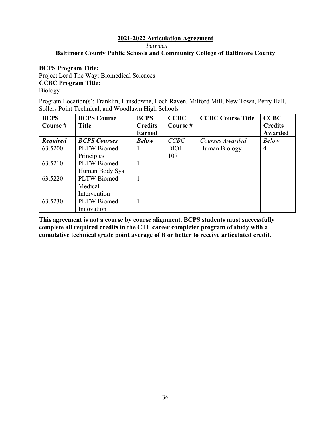*between* 

#### **Baltimore County Public Schools and Community College of Baltimore County**

#### **BCPS Program Title:**

Project Lead The Way: Biomedical Sciences **CCBC Program Title:** 

Biology

Program Location(s): Franklin, Lansdowne, Loch Raven, Milford Mill, New Town, Perry Hall, Sollers Point Technical, and Woodlawn High Schools

| <b>BCPS</b>     | <b>BCPS Course</b>  | <b>BCPS</b>    | <b>CCBC</b> | <b>CCBC Course Title</b> | <b>CCBC</b>    |
|-----------------|---------------------|----------------|-------------|--------------------------|----------------|
| Course #        | <b>Title</b>        | <b>Credits</b> | Course #    |                          | <b>Credits</b> |
|                 |                     | <b>Earned</b>  |             |                          | Awarded        |
| <b>Required</b> | <b>BCPS Courses</b> | <b>Below</b>   | CCBC        | Courses Awarded          | <b>Below</b>   |
| 63.5200         | <b>PLTW</b> Biomed  |                | <b>BIOL</b> | Human Biology            | $\overline{4}$ |
|                 | Principles          |                | 107         |                          |                |
| 63.5210         | PLTW Biomed         |                |             |                          |                |
|                 | Human Body Sys      |                |             |                          |                |
| 63.5220         | <b>PLTW</b> Biomed  |                |             |                          |                |
|                 | Medical             |                |             |                          |                |
|                 | Intervention        |                |             |                          |                |
| 63.5230         | <b>PLTW</b> Biomed  |                |             |                          |                |
|                 | Innovation          |                |             |                          |                |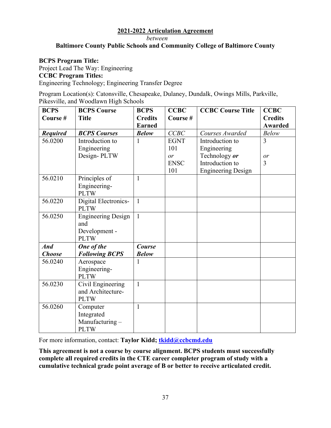*between* 

# **Baltimore County Public Schools and Community College of Baltimore County**

#### **BCPS Program Title:**

Project Lead The Way: Engineering **CCBC Program Titles:**  Engineering Technology; Engineering Transfer Degree

Program Location(s): Catonsville, Chesapeake, Dulaney, Dundalk, Owings Mills, Parkville, Pikesville, and Woodlawn High Schools

| <b>BCPS</b>     | <b>BCPS Course</b>        | <b>BCPS</b>    | <b>CCBC</b> | <b>CCBC Course Title</b>  | <b>CCBC</b>    |
|-----------------|---------------------------|----------------|-------------|---------------------------|----------------|
| Course#         | <b>Title</b>              | <b>Credits</b> | Course#     |                           | <b>Credits</b> |
|                 |                           | <b>Earned</b>  |             |                           | <b>Awarded</b> |
| <b>Required</b> | <b>BCPS Courses</b>       | <b>Below</b>   | CCBC        | Courses Awarded           | <b>Below</b>   |
| 56.0200         | Introduction to           | 1              | <b>EGNT</b> | Introduction to           | 3              |
|                 | Engineering               |                | 101         | Engineering               |                |
|                 | Design-PLTW               |                | or          | Technology or             | or             |
|                 |                           |                | <b>ENSC</b> | Introduction to           | 3              |
|                 |                           |                | 101         | <b>Engineering Design</b> |                |
| 56.0210         | Principles of             | 1              |             |                           |                |
|                 | Engineering-              |                |             |                           |                |
|                 | <b>PLTW</b>               |                |             |                           |                |
| 56.0220         | Digital Electronics-      | $\mathbf{1}$   |             |                           |                |
|                 | <b>PLTW</b>               |                |             |                           |                |
| 56.0250         | <b>Engineering Design</b> | $\mathbf{1}$   |             |                           |                |
|                 | and                       |                |             |                           |                |
|                 | Development -             |                |             |                           |                |
|                 | <b>PLTW</b>               |                |             |                           |                |
| <b>And</b>      | One of the                | Course         |             |                           |                |
| <b>Choose</b>   | <b>Following BCPS</b>     | <b>Below</b>   |             |                           |                |
| 56.0240         | Aerospace                 | 1              |             |                           |                |
|                 | Engineering-              |                |             |                           |                |
|                 | <b>PLTW</b>               |                |             |                           |                |
| 56.0230         | Civil Engineering         | $\mathbf{1}$   |             |                           |                |
|                 | and Architecture-         |                |             |                           |                |
|                 | <b>PLTW</b>               |                |             |                           |                |
| 56.0260         | Computer                  | 1              |             |                           |                |
|                 | Integrated                |                |             |                           |                |
|                 | Manufacturing-            |                |             |                           |                |
|                 | <b>PLTW</b>               |                |             |                           |                |

For more information, contact: Taylor Kidd; tkidd@ccbcmd.edu